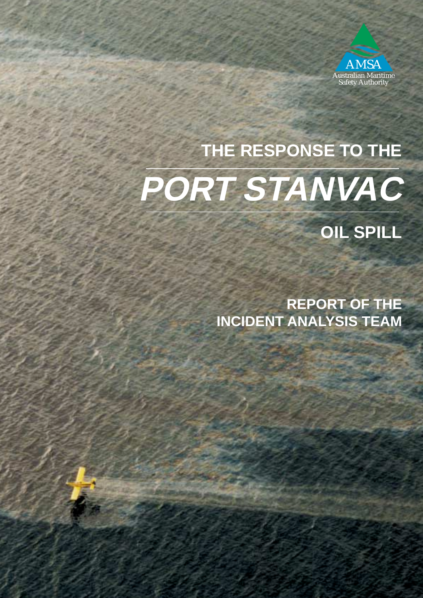

# **THE RESPONSE TO THE PORT STANVAC**

**OIL SPILL**

**REPORT OF THE INCIDENT ANALYSIS TEAM**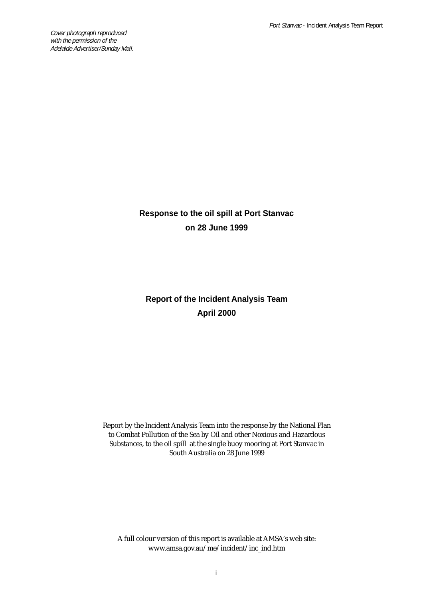Cover photograph reproduced with the permission of the Adelaide Advertiser/Sunday Mail.

## **Response to the oil spill at Port Stanvac on 28 June 1999**

## **Report of the Incident Analysis Team April 2000**

Report by the Incident Analysis Team into the response by the National Plan to Combat Pollution of the Sea by Oil and other Noxious and Hazardous Substances, to the oil spill at the single buoy mooring at Port Stanvac in South Australia on 28 June 1999

A full colour version of this report is available at AMSA's web site: www.amsa.gov.au/me/incident/inc\_ind.htm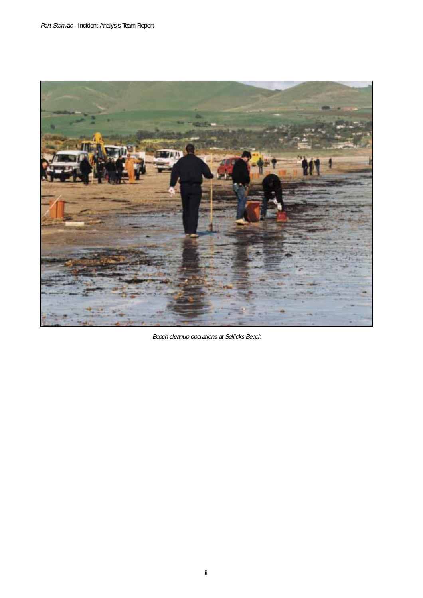

Beach cleanup operations at Sellicks Beach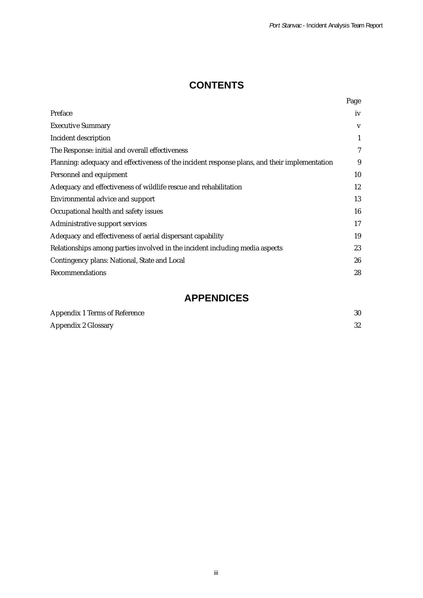## **CONTENTS**

|                                                                                               | Page         |
|-----------------------------------------------------------------------------------------------|--------------|
| Preface                                                                                       | iv           |
| <b>Executive Summary</b>                                                                      | V            |
| Incident description                                                                          | $\mathbf{1}$ |
| The Response: initial and overall effectiveness                                               | 7            |
| Planning: adequacy and effectiveness of the incident response plans, and their implementation | 9            |
| Personnel and equipment                                                                       | 10           |
| Adequacy and effectiveness of wildlife rescue and rehabilitation                              | 12           |
| Environmental advice and support                                                              | 13           |
| Occupational health and safety issues                                                         | 16           |
| Administrative support services                                                               | 17           |
| Adequacy and effectiveness of aerial dispersant capability                                    | 19           |
| Relationships among parties involved in the incident including media aspects                  | 23           |
| Contingency plans: National, State and Local                                                  | 26           |
| Recommendations                                                                               | 28           |

## **APPENDICES**

| Appendix 1 Terms of Reference |    |
|-------------------------------|----|
| Appendix 2 Glossary           | 32 |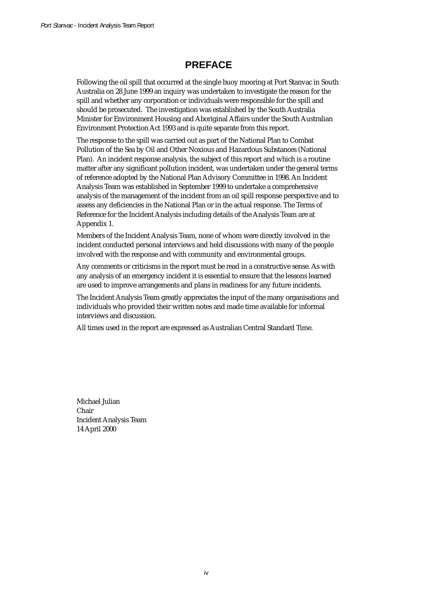## **PREFACE**

Following the oil spill that occurred at the single buoy mooring at Port Stanvac in South Australia on 28 June 1999 an inquiry was undertaken to investigate the reason for the spill and whether any corporation or individuals were responsible for the spill and should be prosecuted. The investigation was established by the South Australia Minister for Environment Housing and Aboriginal Affairs under the South Australian Environment Protection Act 1993 and is quite separate from this report.

The response to the spill was carried out as part of the National Plan to Combat Pollution of the Sea by Oil and Other Noxious and Hazardous Substances (National Plan). An incident response analysis, the subject of this report and which is a routine matter after any significant pollution incident, was undertaken under the general terms of reference adopted by the National Plan Advisory Committee in 1998. An Incident Analysis Team was established in September 1999 to undertake a comprehensive analysis of the management of the incident from an oil spill response perspective and to assess any deficiencies in the National Plan or in the actual response. The Terms of Reference for the Incident Analysis including details of the Analysis Team are at Appendix 1.

Members of the Incident Analysis Team, none of whom were directly involved in the incident conducted personal interviews and held discussions with many of the people involved with the response and with community and environmental groups.

Any comments or criticisms in the report must be read in a constructive sense. As with any analysis of an emergency incident it is essential to ensure that the lessons learned are used to improve arrangements and plans in readiness for any future incidents.

The Incident Analysis Team greatly appreciates the input of the many organisations and individuals who provided their written notes and made time available for informal interviews and discussion.

All times used in the report are expressed as Australian Central Standard Time.

Michael Julian Chair Incident Analysis Team 14 April 2000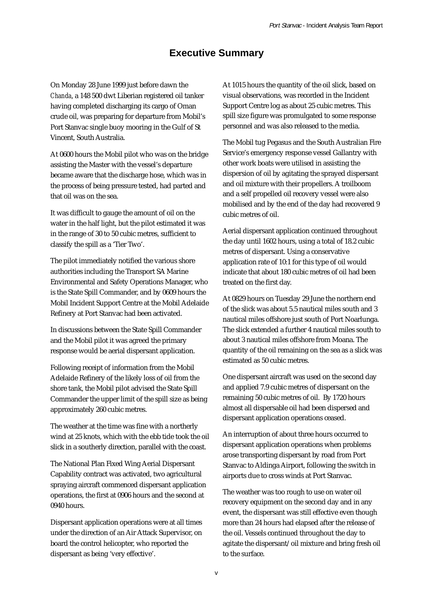### **Executive Summary**

On Monday 28 June 1999 just before dawn the *Chanda*, a 148 500 dwt Liberian registered oil tanker having completed discharging its cargo of Oman crude oil, was preparing for departure from Mobil's Port Stanvac single buoy mooring in the Gulf of St Vincent, South Australia.

At 0600 hours the Mobil pilot who was on the bridge assisting the Master with the vessel's departure became aware that the discharge hose, which was in the process of being pressure tested, had parted and that oil was on the sea.

It was difficult to gauge the amount of oil on the water in the half light, but the pilot estimated it was in the range of 30 to 50 cubic metres, sufficient to classify the spill as a 'Tier Two'.

The pilot immediately notified the various shore authorities including the Transport SA Marine Environmental and Safety Operations Manager, who is the State Spill Commander, and by 0609 hours the Mobil Incident Support Centre at the Mobil Adelaide Refinery at Port Stanvac had been activated.

In discussions between the State Spill Commander and the Mobil pilot it was agreed the primary response would be aerial dispersant application.

Following receipt of information from the Mobil Adelaide Refinery of the likely loss of oil from the shore tank, the Mobil pilot advised the State Spill Commander the upper limit of the spill size as being approximately 260 cubic metres.

The weather at the time was fine with a northerly wind at 25 knots, which with the ebb tide took the oil slick in a southerly direction, parallel with the coast.

The National Plan Fixed Wing Aerial Dispersant Capability contract was activated, two agricultural spraying aircraft commenced dispersant application operations, the first at 0906 hours and the second at 0940 hours.

Dispersant application operations were at all times under the direction of an Air Attack Supervisor, on board the control helicopter, who reported the dispersant as being 'very effective'.

At 1015 hours the quantity of the oil slick, based on visual observations, was recorded in the Incident Support Centre log as about 25 cubic metres. This spill size figure was promulgated to some response personnel and was also released to the media.

The Mobil tug Pegasus and the South Australian Fire Service's emergency response vessel Gallantry with other work boats were utilised in assisting the dispersion of oil by agitating the sprayed dispersant and oil mixture with their propellers. A troilboom and a self propelled oil recovery vessel were also mobilised and by the end of the day had recovered 9 cubic metres of oil.

Aerial dispersant application continued throughout the day until 1602 hours, using a total of 18.2 cubic metres of dispersant. Using a conservative application rate of 10:1 for this type of oil would indicate that about 180 cubic metres of oil had been treated on the first day.

At 0829 hours on Tuesday 29 June the northern end of the slick was about 5.5 nautical miles south and 3 nautical miles offshore just south of Port Noarlunga. The slick extended a further 4 nautical miles south to about 3 nautical miles offshore from Moana. The quantity of the oil remaining on the sea as a slick was estimated as 50 cubic metres.

One dispersant aircraft was used on the second day and applied 7.9 cubic metres of dispersant on the remaining 50 cubic metres of oil. By 1720 hours almost all dispersable oil had been dispersed and dispersant application operations ceased.

An interruption of about three hours occurred to dispersant application operations when problems arose transporting dispersant by road from Port Stanvac to Aldinga Airport, following the switch in airports due to cross winds at Port Stanvac.

The weather was too rough to use on water oil recovery equipment on the second day and in any event, the dispersant was still effective even though more than 24 hours had elapsed after the release of the oil. Vessels continued throughout the day to agitate the dispersant/oil mixture and bring fresh oil to the surface.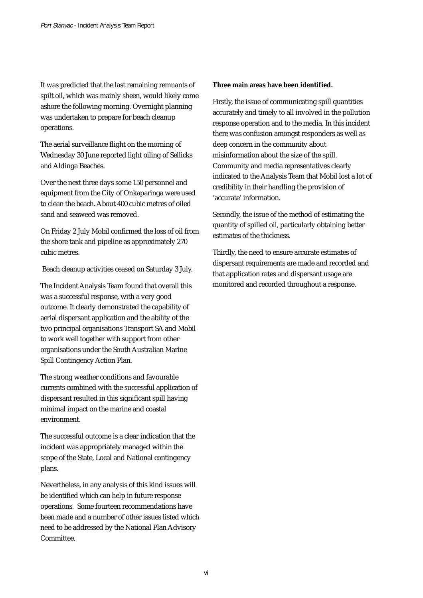It was predicted that the last remaining remnants of spilt oil, which was mainly sheen, would likely come ashore the following morning. Overnight planning was undertaken to prepare for beach cleanup operations.

The aerial surveillance flight on the morning of Wednesday 30 June reported light oiling of Sellicks and Aldinga Beaches.

Over the next three days some 150 personnel and equipment from the City of Onkaparinga were used to clean the beach. About 400 cubic metres of oiled sand and seaweed was removed.

On Friday 2 July Mobil confirmed the loss of oil from the shore tank and pipeline as approximately 270 cubic metres.

Beach cleanup activities ceased on Saturday 3 July.

The Incident Analysis Team found that overall this was a successful response, with a very good outcome. It clearly demonstrated the capability of aerial dispersant application and the ability of the two principal organisations Transport SA and Mobil to work well together with support from other organisations under the South Australian Marine Spill Contingency Action Plan.

The strong weather conditions and favourable currents combined with the successful application of dispersant resulted in this significant spill having minimal impact on the marine and coastal environment.

The successful outcome is a clear indication that the incident was appropriately managed within the scope of the State, Local and National contingency plans.

Nevertheless, in any analysis of this kind issues will be identified which can help in future response operations. Some fourteen recommendations have been made and a number of other issues listed which need to be addressed by the National Plan Advisory Committee.

#### **Three main areas have been identified.**

Firstly, the issue of communicating spill quantities accurately and timely to all involved in the pollution response operation and to the media. In this incident there was confusion amongst responders as well as deep concern in the community about misinformation about the size of the spill. Community and media representatives clearly indicated to the Analysis Team that Mobil lost a lot of credibility in their handling the provision of 'accurate' information.

Secondly, the issue of the method of estimating the quantity of spilled oil, particularly obtaining better estimates of the thickness.

Thirdly, the need to ensure accurate estimates of dispersant requirements are made and recorded and that application rates and dispersant usage are monitored and recorded throughout a response.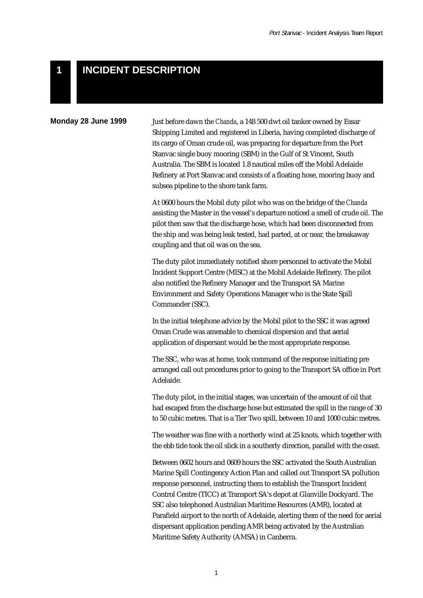#### **INCIDENT DESCRIPTION 1**

#### **Monday 28 June 1999**

Just before dawn the *Chanda*, a 148 500 dwt oil tanker owned by Essar Shipping Limited and registered in Liberia, having completed discharge of its cargo of Oman crude oil, was preparing for departure from the Port Stanvac single buoy mooring (SBM) in the Gulf of St Vincent, South Australia. The SBM is located 1.8 nautical miles off the Mobil Adelaide Refinery at Port Stanvac and consists of a floating hose, mooring buoy and subsea pipeline to the shore tank farm.

At 0600 hours the Mobil duty pilot who was on the bridge of the *Chanda* assisting the Master in the vessel's departure noticed a smell of crude oil. The pilot then saw that the discharge hose, which had been disconnected from the ship and was being leak tested, had parted, at or near, the breakaway coupling and that oil was on the sea.

The duty pilot immediately notified shore personnel to activate the Mobil Incident Support Centre (MISC) at the Mobil Adelaide Refinery. The pilot also notified the Refinery Manager and the Transport SA Marine Environment and Safety Operations Manager who is the State Spill Commander (SSC).

In the initial telephone advice by the Mobil pilot to the SSC it was agreed Oman Crude was amenable to chemical dispersion and that aerial application of dispersant would be the most appropriate response.

The SSC, who was at home, took command of the response initiating pre arranged call out procedures prior to going to the Transport SA office in Port Adelaide.

The duty pilot, in the initial stages, was uncertain of the amount of oil that had escaped from the discharge hose but estimated the spill in the range of 30 to 50 cubic metres. That is a Tier Two spill, between 10 and 1000 cubic metres.

The weather was fine with a northerly wind at 25 knots, which together with the ebb tide took the oil slick in a southerly direction, parallel with the coast.

Between 0602 hours and 0609 hours the SSC activated the South Australian Marine Spill Contingency Action Plan and called out Transport SA pollution response personnel, instructing them to establish the Transport Incident Control Centre (TICC) at Transport SA's depot at Glanville Dockyard. The SSC also telephoned Australian Maritime Resources (AMR), located at Parafield airport to the north of Adelaide, alerting them of the need for aerial dispersant application pending AMR being activated by the Australian Maritime Safety Authority (AMSA) in Canberra.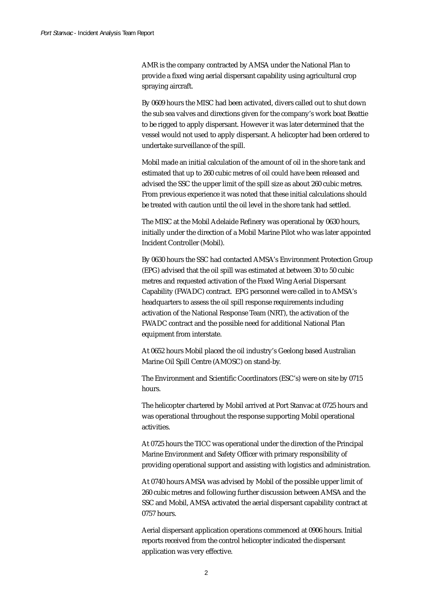AMR is the company contracted by AMSA under the National Plan to provide a fixed wing aerial dispersant capability using agricultural crop spraying aircraft.

By 0609 hours the MISC had been activated, divers called out to shut down the sub sea valves and directions given for the company's work boat Beattie to be rigged to apply dispersant. However it was later determined that the vessel would not used to apply dispersant. A helicopter had been ordered to undertake surveillance of the spill.

Mobil made an initial calculation of the amount of oil in the shore tank and estimated that up to 260 cubic metres of oil could have been released and advised the SSC the upper limit of the spill size as about 260 cubic metres. From previous experience it was noted that these initial calculations should be treated with caution until the oil level in the shore tank had settled.

The MISC at the Mobil Adelaide Refinery was operational by 0630 hours, initially under the direction of a Mobil Marine Pilot who was later appointed Incident Controller (Mobil).

By 0630 hours the SSC had contacted AMSA's Environment Protection Group (EPG) advised that the oil spill was estimated at between 30 to 50 cubic metres and requested activation of the Fixed Wing Aerial Dispersant Capability (FWADC) contract. EPG personnel were called in to AMSA's headquarters to assess the oil spill response requirements including activation of the National Response Team (NRT), the activation of the FWADC contract and the possible need for additional National Plan equipment from interstate.

At 0652 hours Mobil placed the oil industry's Geelong based Australian Marine Oil Spill Centre (AMOSC) on stand-by.

The Environment and Scientific Coordinators (ESC's) were on site by 0715 hours.

The helicopter chartered by Mobil arrived at Port Stanvac at 0725 hours and was operational throughout the response supporting Mobil operational activities.

At 0725 hours the TICC was operational under the direction of the Principal Marine Environment and Safety Officer with primary responsibility of providing operational support and assisting with logistics and administration.

At 0740 hours AMSA was advised by Mobil of the possible upper limit of 260 cubic metres and following further discussion between AMSA and the SSC and Mobil, AMSA activated the aerial dispersant capability contract at 0757 hours.

Aerial dispersant application operations commenced at 0906 hours. Initial reports received from the control helicopter indicated the dispersant application was very effective.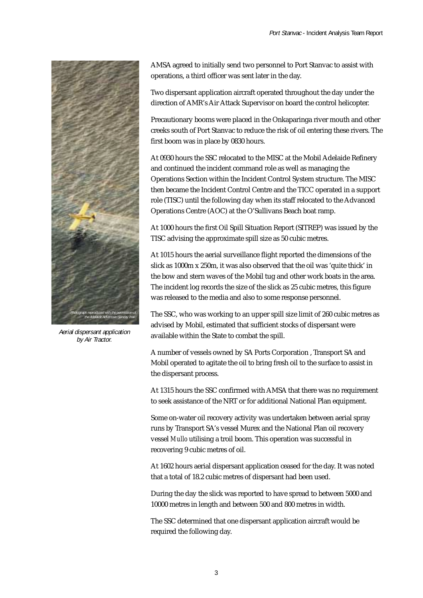

Aerial dispersant application by Air Tractor.

AMSA agreed to initially send two personnel to Port Stanvac to assist with operations, a third officer was sent later in the day.

Two dispersant application aircraft operated throughout the day under the direction of AMR's Air Attack Supervisor on board the control helicopter.

Precautionary booms were placed in the Onkaparinga river mouth and other creeks south of Port Stanvac to reduce the risk of oil entering these rivers. The first boom was in place by 0830 hours.

At 0930 hours the SSC relocated to the MISC at the Mobil Adelaide Refinery and continued the incident command role as well as managing the Operations Section within the Incident Control System structure. The MISC then became the Incident Control Centre and the TICC operated in a support role (TISC) until the following day when its staff relocated to the Advanced Operations Centre (AOC) at the O'Sullivans Beach boat ramp.

At 1000 hours the first Oil Spill Situation Report (SITREP) was issued by the TISC advising the approximate spill size as 50 cubic metres.

At 1015 hours the aerial surveillance flight reported the dimensions of the slick as 1000m x 250m, it was also observed that the oil was 'quite thick' in the bow and stern waves of the Mobil tug and other work boats in the area. The incident log records the size of the slick as 25 cubic metres, this figure was released to the media and also to some response personnel.

The SSC, who was working to an upper spill size limit of 260 cubic metres as advised by Mobil, estimated that sufficient stocks of dispersant were available within the State to combat the spill.

A number of vessels owned by SA Ports Corporation , Transport SA and Mobil operated to agitate the oil to bring fresh oil to the surface to assist in the dispersant process.

At 1315 hours the SSC confirmed with AMSA that there was no requirement to seek assistance of the NRT or for additional National Plan equipment.

Some on-water oil recovery activity was undertaken between aerial spray runs by Transport SA's vessel Murex and the National Plan oil recovery vessel *Mullo* utilising a troil boom. This operation was successful in recovering 9 cubic metres of oil.

At 1602 hours aerial dispersant application ceased for the day. It was noted that a total of 18.2 cubic metres of dispersant had been used.

During the day the slick was reported to have spread to between 5000 and 10000 metres in length and between 500 and 800 metres in width.

The SSC determined that one dispersant application aircraft would be required the following day.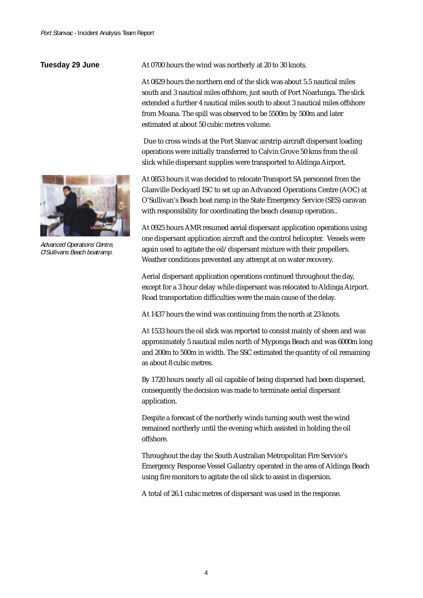#### **Tuesday 29 June**



Advanced Operations Centre, O'Sullivans Beach boatramp.

At 0700 hours the wind was northerly at 20 to 30 knots.

At 0829 hours the northern end of the slick was about 5.5 nautical miles south and 3 nautical miles offshore, just south of Port Noarlunga. The slick extended a further 4 nautical miles south to about 3 nautical miles offshore from Moana. The spill was observed to be 5500m by 500m and later estimated at about 50 cubic metres volume.

 Due to cross winds at the Port Stanvac airstrip aircraft dispersant loading operations were initially transferred to Calvin Grove 50 kms from the oil slick while dispersant supplies were transported to Aldinga Airport.

At 0853 hours it was decided to relocate Transport SA personnel from the Glanville Dockyard ISC to set up an Advanced Operations Centre (AOC) at O'Sullivan's Beach boat ramp in the State Emergency Service (SES) caravan with responsibility for coordinating the beach cleanup operation..

At 0925 hours AMR resumed aerial dispersant application operations using one dispersant application aircraft and the control helicopter. Vessels were again used to agitate the oil/dispersant mixture with their propellers. Weather conditions prevented any attempt at on water recovery.

Aerial dispersant application operations continued throughout the day, except for a 3 hour delay while dispersant was relocated to Aldinga Airport. Road transportation difficulties were the main cause of the delay.

At 1437 hours the wind was continuing from the north at 23 knots.

At 1533 hours the oil slick was reported to consist mainly of sheen and was approximately 5 nautical miles north of Myponga Beach and was 6000m long and 200m to 500m in width. The SSC estimated the quantity of oil remaining as about 8 cubic metres.

By 1720 hours nearly all oil capable of being dispersed had been dispersed, consequently the decision was made to terminate aerial dispersant application.

Despite a forecast of the northerly winds turning south west the wind remained northerly until the evening which assisted in holding the oil offshore.

Throughout the day the South Australian Metropolitan Fire Service's Emergency Response Vessel Gallantry operated in the area of Aldinga Beach using fire monitors to agitate the oil slick to assist in dispersion.

A total of 26.1 cubic metres of dispersant was used in the response.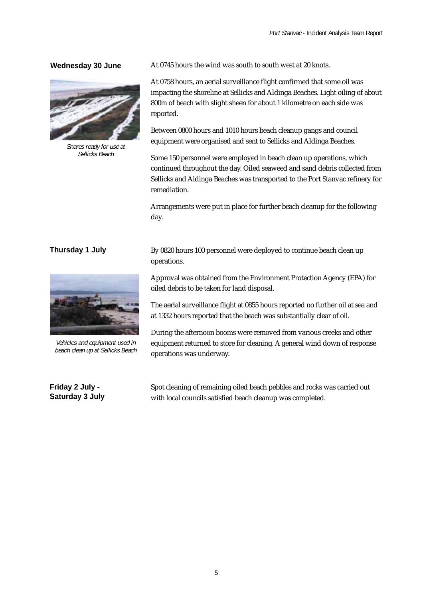#### **Wednesday 30 June**



Snares ready for use at Sellicks Beach

#### **Thursday 1 July**



Vehicles and equipment used in beach clean up at Sellicks Beach

**Friday 2 July - Saturday 3 July** At 0745 hours the wind was south to south west at 20 knots.

At 0758 hours, an aerial surveillance flight confirmed that some oil was impacting the shoreline at Sellicks and Aldinga Beaches. Light oiling of about 800m of beach with slight sheen for about 1 kilometre on each side was reported.

Between 0800 hours and 1010 hours beach cleanup gangs and council equipment were organised and sent to Sellicks and Aldinga Beaches.

Some 150 personnel were employed in beach clean up operations, which continued throughout the day. Oiled seaweed and sand debris collected from Sellicks and Aldinga Beaches was transported to the Port Stanvac refinery for remediation.

Arrangements were put in place for further beach cleanup for the following day.

By 0820 hours 100 personnel were deployed to continue beach clean up operations.

Approval was obtained from the Environment Protection Agency (EPA) for oiled debris to be taken for land disposal.

The aerial surveillance flight at 0855 hours reported no further oil at sea and at 1332 hours reported that the beach was substantially clear of oil.

During the afternoon booms were removed from various creeks and other equipment returned to store for cleaning. A general wind down of response operations was underway.

Spot cleaning of remaining oiled beach pebbles and rocks was carried out with local councils satisfied beach cleanup was completed.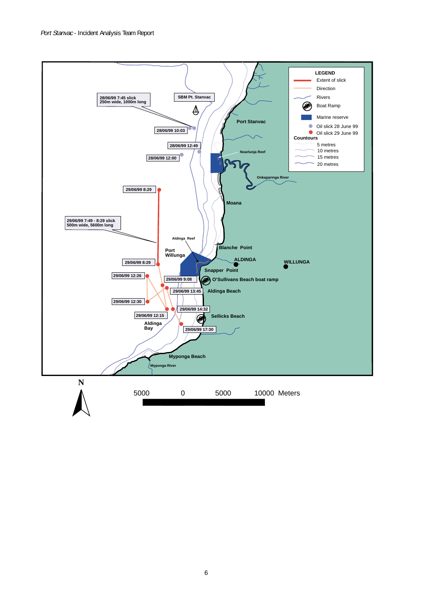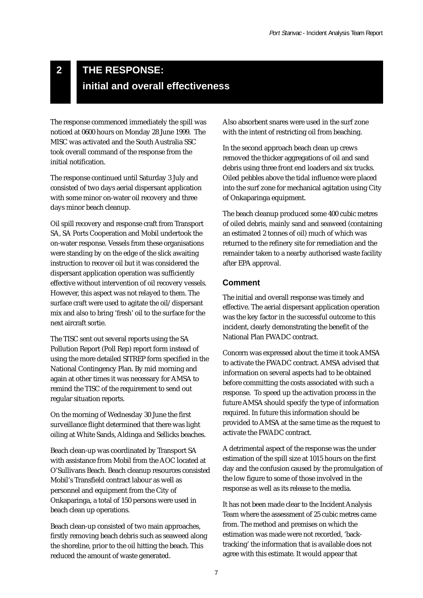# **THE RESPONSE: initial and overall effectiveness**

The response commenced immediately the spill was noticed at 0600 hours on Monday 28 June 1999. The MISC was activated and the South Australia SSC took overall command of the response from the initial notification.

**2**

The response continued until Saturday 3 July and consisted of two days aerial dispersant application with some minor on-water oil recovery and three days minor beach cleanup.

Oil spill recovery and response craft from Transport SA, SA Ports Cooperation and Mobil undertook the on-water response. Vessels from these organisations were standing by on the edge of the slick awaiting instruction to recover oil but it was considered the dispersant application operation was sufficiently effective without intervention of oil recovery vessels. However, this aspect was not relayed to them. The surface craft were used to agitate the oil/dispersant mix and also to bring 'fresh' oil to the surface for the next aircraft sortie.

The TISC sent out several reports using the SA Pollution Report (Poll Rep) report form instead of using the more detailed SITREP form specified in the National Contingency Plan. By mid morning and again at other times it was necessary for AMSA to remind the TISC of the requirement to send out regular situation reports.

On the morning of Wednesday 30 June the first surveillance flight determined that there was light oiling at White Sands, Aldinga and Sellicks beaches.

Beach clean-up was coordinated by Transport SA with assistance from Mobil from the AOC located at O'Sullivans Beach. Beach cleanup resources consisted Mobil's Transfield contract labour as well as personnel and equipment from the City of Onkaparinga, a total of 150 persons were used in beach clean up operations.

Beach clean-up consisted of two main approaches, firstly removing beach debris such as seaweed along the shoreline, prior to the oil hitting the beach. This reduced the amount of waste generated.

Also absorbent snares were used in the surf zone with the intent of restricting oil from beaching.

In the second approach beach clean up crews removed the thicker aggregations of oil and sand debris using three front end loaders and six trucks. Oiled pebbles above the tidal influence were placed into the surf zone for mechanical agitation using City of Onkaparinga equipment.

The beach cleanup produced some 400 cubic metres of oiled debris, mainly sand and seaweed (containing an estimated 2 tonnes of oil) much of which was returned to the refinery site for remediation and the remainder taken to a nearby authorised waste facility after EPA approval.

#### **Comment**

The initial and overall response was timely and effective. The aerial dispersant application operation was the key factor in the successful outcome to this incident, clearly demonstrating the benefit of the National Plan FWADC contract.

Concern was expressed about the time it took AMSA to activate the FWADC contract. AMSA advised that information on several aspects had to be obtained before committing the costs associated with such a response. To speed up the activation process in the future AMSA should specify the type of information required. In future this information should be provided to AMSA at the same time as the request to activate the FWADC contract.

A detrimental aspect of the response was the under estimation of the spill size at 1015 hours on the first day and the confusion caused by the promulgation of the low figure to some of those involved in the response as well as its release to the media.

It has not been made clear to the Incident Analysis Team where the assessment of 25 cubic metres came from. The method and premises on which the estimation was made were not recorded, 'backtracking' the information that is available does not agree with this estimate. It would appear that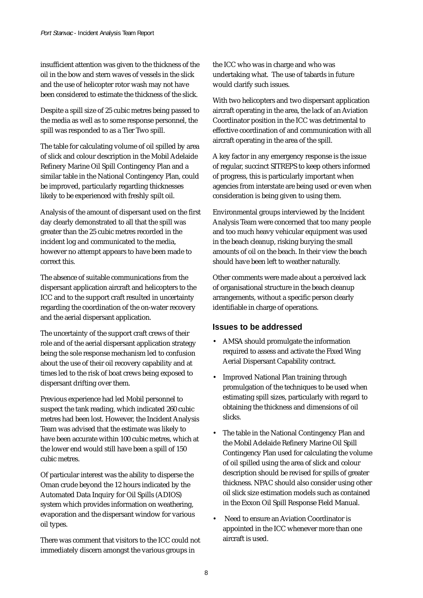insufficient attention was given to the thickness of the oil in the bow and stern waves of vessels in the slick and the use of helicopter rotor wash may not have been considered to estimate the thickness of the slick.

Despite a spill size of 25 cubic metres being passed to the media as well as to some response personnel, the spill was responded to as a Tier Two spill.

The table for calculating volume of oil spilled by area of slick and colour description in the Mobil Adelaide Refinery Marine Oil Spill Contingency Plan and a similar table in the National Contingency Plan, could be improved, particularly regarding thicknesses likely to be experienced with freshly spilt oil.

Analysis of the amount of dispersant used on the first day clearly demonstrated to all that the spill was greater than the 25 cubic metres recorded in the incident log and communicated to the media, however no attempt appears to have been made to correct this.

The absence of suitable communications from the dispersant application aircraft and helicopters to the ICC and to the support craft resulted in uncertainty regarding the coordination of the on-water recovery and the aerial dispersant application.

The uncertainty of the support craft crews of their role and of the aerial dispersant application strategy being the sole response mechanism led to confusion about the use of their oil recovery capability and at times led to the risk of boat crews being exposed to dispersant drifting over them.

Previous experience had led Mobil personnel to suspect the tank reading, which indicated 260 cubic metres had been lost. However, the Incident Analysis Team was advised that the estimate was likely to have been accurate within 100 cubic metres, which at the lower end would still have been a spill of 150 cubic metres.

Of particular interest was the ability to disperse the Oman crude beyond the 12 hours indicated by the Automated Data Inquiry for Oil Spills (ADIOS) system which provides information on weathering, evaporation and the dispersant window for various oil types.

There was comment that visitors to the ICC could not immediately discern amongst the various groups in

the ICC who was in charge and who was undertaking what. The use of tabards in future would clarify such issues.

With two helicopters and two dispersant application aircraft operating in the area, the lack of an Aviation Coordinator position in the ICC was detrimental to effective coordination of and communication with all aircraft operating in the area of the spill.

A key factor in any emergency response is the issue of regular, succinct SITREPS to keep others informed of progress, this is particularly important when agencies from interstate are being used or even when consideration is being given to using them.

Environmental groups interviewed by the Incident Analysis Team were concerned that too many people and too much heavy vehicular equipment was used in the beach cleanup, risking burying the small amounts of oil on the beach. In their view the beach should have been left to weather naturally.

Other comments were made about a perceived lack of organisational structure in the beach cleanup arrangements, without a specific person clearly identifiable in charge of operations.

#### **Issues to be addressed**

- AMSA should promulgate the information required to assess and activate the Fixed Wing Aerial Dispersant Capability contract.
- Improved National Plan training through promulgation of the techniques to be used when estimating spill sizes, particularly with regard to obtaining the thickness and dimensions of oil slicks.
- The table in the National Contingency Plan and the Mobil Adelaide Refinery Marine Oil Spill Contingency Plan used for calculating the volume of oil spilled using the area of slick and colour description should be revised for spills of greater thickness. NPAC should also consider using other oil slick size estimation models such as contained in the Exxon Oil Spill Response Field Manual.
- Need to ensure an Aviation Coordinator is appointed in the ICC whenever more than one aircraft is used.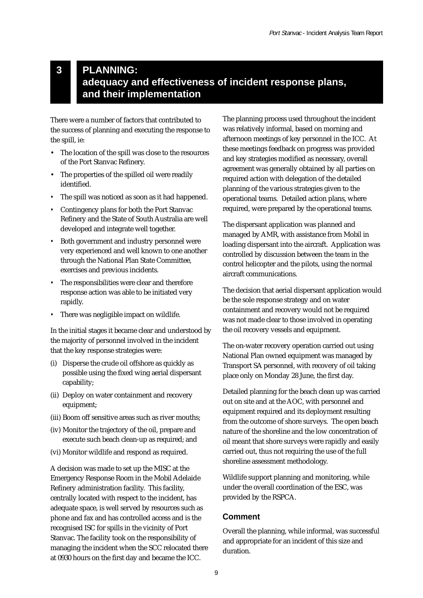## **PLANNING: adequacy and effectiveness of incident response plans, and their implementation**

There were a number of factors that contributed to the success of planning and executing the response to the spill, ie:

**3**

- The location of the spill was close to the resources of the Port Stanvac Refinery.
- The properties of the spilled oil were readily identified.
- *•* The spill was noticed as soon as it had happened.
- *•* Contingency plans for both the Port Stanvac Refinery and the State of South Australia are well developed and integrate well together.
- *•* Both government and industry personnel were very experienced and well known to one another through the National Plan State Committee, exercises and previous incidents.
- The responsibilities were clear and therefore response action was able to be initiated very rapidly.
- *•* There was negligible impact on wildlife.

In the initial stages it became clear and understood by the majority of personnel involved in the incident that the key response strategies were:

- (i) Disperse the crude oil offshore as quickly as possible using the fixed wing aerial dispersant capability;
- (ii) Deploy on water containment and recovery equipment;
- (iii) Boom off sensitive areas such as river mouths;
- (iv) Monitor the trajectory of the oil, prepare and execute such beach clean-up as required; and
- (vi) Monitor wildlife and respond as required.

A decision was made to set up the MISC at the Emergency Response Room in the Mobil Adelaide Refinery administration facility. This facility, centrally located with respect to the incident, has adequate space, is well served by resources such as phone and fax and has controlled access and is the recognised ISC for spills in the vicinity of Port Stanvac. The facility took on the responsibility of managing the incident when the SCC relocated there at 0930 hours on the first day and became the ICC.

The planning process used throughout the incident was relatively informal, based on morning and afternoon meetings of key personnel in the ICC. At these meetings feedback on progress was provided and key strategies modified as necessary, overall agreement was generally obtained by all parties on required action with delegation of the detailed planning of the various strategies given to the operational teams. Detailed action plans, where required, were prepared by the operational teams.

The dispersant application was planned and managed by AMR, with assistance from Mobil in loading dispersant into the aircraft. Application was controlled by discussion between the team in the control helicopter and the pilots, using the normal aircraft communications.

The decision that aerial dispersant application would be the sole response strategy and on water containment and recovery would not be required was not made clear to those involved in operating the oil recovery vessels and equipment.

The on-water recovery operation carried out using National Plan owned equipment was managed by Transport SA personnel, with recovery of oil taking place only on Monday 28 June, the first day.

Detailed planning for the beach clean up was carried out on site and at the AOC, with personnel and equipment required and its deployment resulting from the outcome of shore surveys. The open beach nature of the shoreline and the low concentration of oil meant that shore surveys were rapidly and easily carried out, thus not requiring the use of the full shoreline assessment methodology.

Wildlife support planning and monitoring, while under the overall coordination of the ESC, was provided by the RSPCA.

#### **Comment**

Overall the planning, while informal, was successful and appropriate for an incident of this size and duration.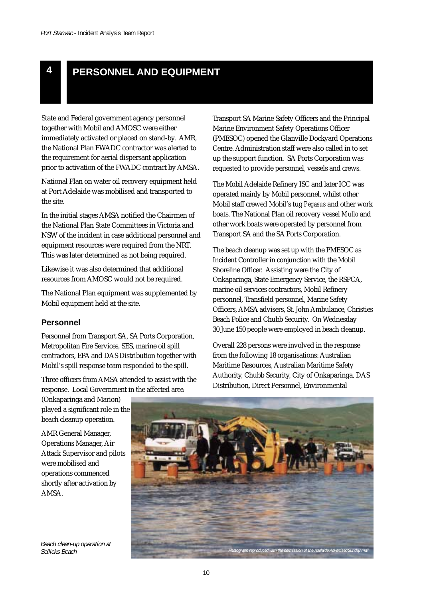## **4 PERSONNEL AND EQUIPMENT**

State and Federal government agency personnel together with Mobil and AMOSC were either immediately activated or placed on stand-by. AMR, the National Plan FWADC contractor was alerted to the requirement for aerial dispersant application prior to activation of the FWADC contract by AMSA.

National Plan on water oil recovery equipment held at Port Adelaide was mobilised and transported to the site.

In the initial stages AMSA notified the Chairmen of the National Plan State Committees in Victoria and NSW of the incident in case additional personnel and equipment resources were required from the NRT. This was later determined as not being required.

Likewise it was also determined that additional resources from AMOSC would not be required.

The National Plan equipment was supplemented by Mobil equipment held at the site.

#### **Personnel**

Personnel from Transport SA, SA Ports Corporation, Metropolitan Fire Services, SES, marine oil spill contractors, EPA and DAS Distribution together with Mobil's spill response team responded to the spill.

Three officers from AMSA attended to assist with the response. Local Government in the affected area

(Onkaparinga and Marion) played a significant role in the beach cleanup operation.

AMR General Manager, Operations Manager, Air Attack Supervisor and pilots were mobilised and operations commenced shortly after activation by AMSA.

Beach clean-up operation at

Transport SA Marine Safety Officers and the Principal Marine Environment Safety Operations Officer (PMESOC) opened the Glanville Dockyard Operations Centre. Administration staff were also called in to set up the support function. SA Ports Corporation was requested to provide personnel, vessels and crews.

The Mobil Adelaide Refinery ISC and later ICC was operated mainly by Mobil personnel, whilst other Mobil staff crewed Mobil's tug *Pegasus* and other work boats. The National Plan oil recovery vessel *Mullo* and other work boats were operated by personnel from Transport SA and the SA Ports Corporation.

The beach cleanup was set up with the PMESOC as Incident Controller in conjunction with the Mobil Shoreline Officer. Assisting were the City of Onkaparinga, State Emergency Service, the RSPCA, marine oil services contractors, Mobil Refinery personnel, Transfield personnel, Marine Safety Officers, AMSA advisers, St. John Ambulance, Christies Beach Police and Chubb Security. On Wednesday 30 June 150 people were employed in beach cleanup.

Overall 228 persons were involved in the response from the following 18 organisations: Australian Maritime Resources, Australian Maritime Safety Authority, Chubb Security, City of Onkaparinga, DAS Distribution, Direct Personnel, Environmental

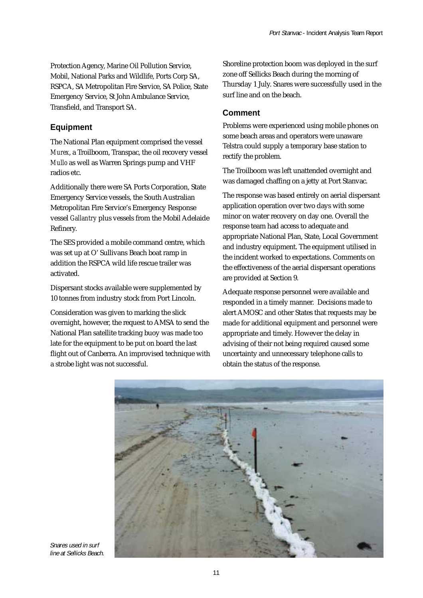Protection Agency, Marine Oil Pollution Service, Mobil, National Parks and Wildlife, Ports Corp SA, RSPCA, SA Metropolitan Fire Service, SA Police, State Emergency Service, St John Ambulance Service, Transfield, and Transport SA.

#### **Equipment**

The National Plan equipment comprised the vessel *Murex*, a Troilboom, Transpac, the oil recovery vessel *Mullo* as well as Warren Springs pump and VHF radios etc.

Additionally there were SA Ports Corporation, State Emergency Service vessels, the South Australian Metropolitan Fire Service's Emergency Response vessel *Gallantry* plus vessels from the Mobil Adelaide Refinery.

The SES provided a mobile command centre, which was set up at O' Sullivans Beach boat ramp in addition the RSPCA wild life rescue trailer was activated.

Dispersant stocks available were supplemented by 10 tonnes from industry stock from Port Lincoln.

Consideration was given to marking the slick overnight, however, the request to AMSA to send the National Plan satellite tracking buoy was made too late for the equipment to be put on board the last flight out of Canberra. An improvised technique with a strobe light was not successful.

Shoreline protection boom was deployed in the surf zone off Sellicks Beach during the morning of Thursday 1 July. Snares were successfully used in the surf line and on the beach.

#### **Comment**

Problems were experienced using mobile phones on some beach areas and operators were unaware Telstra could supply a temporary base station to rectify the problem.

The Troilboom was left unattended overnight and was damaged chaffing on a jetty at Port Stanvac.

The response was based entirely on aerial dispersant application operation over two days with some minor on water recovery on day one. Overall the response team had access to adequate and appropriate National Plan, State, Local Government and industry equipment. The equipment utilised in the incident worked to expectations. Comments on the effectiveness of the aerial dispersant operations are provided at Section 9.

Adequate response personnel were available and responded in a timely manner. Decisions made to alert AMOSC and other States that requests may be made for additional equipment and personnel were appropriate and timely. However the delay in advising of their not being required caused some uncertainty and unnecessary telephone calls to obtain the status of the response.



Snares used in surf line at Sellicks Beach.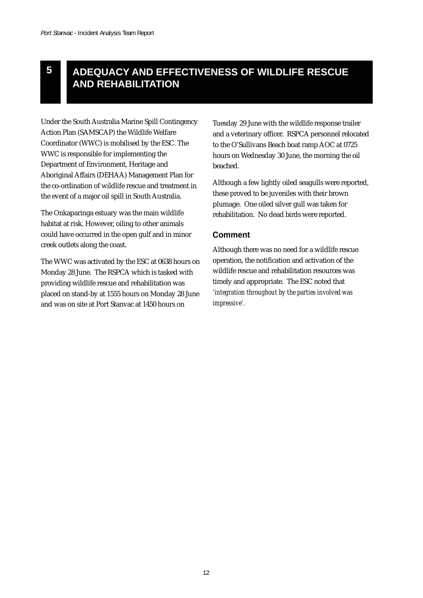## **ADEQUACY AND EFFECTIVENESS OF WILDLIFE RESCUE AND REHABILITATION**

Under the South Australia Marine Spill Contingency Action Plan (SAMSCAP) the Wildlife Welfare Coordinator (WWC) is mobilised by the ESC. The WWC is responsible for implementing the Department of Environment, Heritage and Aboriginal Affairs (DEHAA) Management Plan for the co-ordination of wildlife rescue and treatment in the event of a major oil spill in South Australia.

The Onkaparinga estuary was the main wildlife habitat at risk. However, oiling to other animals could have occurred in the open gulf and in minor creek outlets along the coast.

The WWC was activated by the ESC at 0638 hours on Monday 28 June. The RSPCA which is tasked with providing wildlife rescue and rehabilitation was placed on stand-by at 1555 hours on Monday 28 June and was on site at Port Stanvac at 1450 hours on

Tuesday 29 June with the wildlife response trailer and a veterinary officer. RSPCA personnel relocated to the O'Sullivans Beach boat ramp AOC at 0725 hours on Wednesday 30 June, the morning the oil beached.

Although a few lightly oiled seagulls were reported, these proved to be juveniles with their brown plumage. One oiled silver gull was taken for rehabilitation. No dead birds were reported.

#### **Comment**

Although there was no need for a wildlife rescue operation, the notification and activation of the wildlife rescue and rehabilitation resources was timely and appropriate. The ESC noted that *'integration throughout by the parties involved was impressive'.*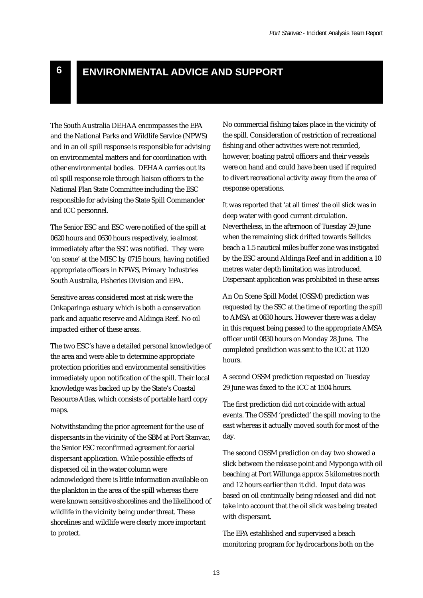## **6 ENVIRONMENTAL ADVICE AND SUPPORT**

The South Australia DEHAA encompasses the EPA and the National Parks and Wildlife Service (NPWS) and in an oil spill response is responsible for advising on environmental matters and for coordination with other environmental bodies. DEHAA carries out its oil spill response role through liaison officers to the National Plan State Committee including the ESC responsible for advising the State Spill Commander and ICC personnel.

The Senior ESC and ESC were notified of the spill at 0620 hours and 0630 hours respectively, ie almost immediately after the SSC was notified. They were 'on scene' at the MISC by 0715 hours, having notified appropriate officers in NPWS, Primary Industries South Australia, Fisheries Division and EPA.

Sensitive areas considered most at risk were the Onkaparinga estuary which is both a conservation park and aquatic reserve and Aldinga Reef. No oil impacted either of these areas.

The two ESC's have a detailed personal knowledge of the area and were able to determine appropriate protection priorities and environmental sensitivities immediately upon notification of the spill. Their local knowledge was backed up by the State's Coastal Resource Atlas, which consists of portable hard copy maps.

Notwithstanding the prior agreement for the use of dispersants in the vicinity of the SBM at Port Stanvac, the Senior ESC reconfirmed agreement for aerial dispersant application. While possible effects of dispersed oil in the water column were acknowledged there is little information available on the plankton in the area of the spill whereas there were known sensitive shorelines and the likelihood of wildlife in the vicinity being under threat. These shorelines and wildlife were clearly more important to protect.

No commercial fishing takes place in the vicinity of the spill. Consideration of restriction of recreational fishing and other activities were not recorded, however, boating patrol officers and their vessels were on hand and could have been used if required to divert recreational activity away from the area of response operations.

It was reported that 'at all times' the oil slick was in deep water with good current circulation. Nevertheless, in the afternoon of Tuesday 29 June when the remaining slick drifted towards Sellicks beach a 1.5 nautical miles buffer zone was instigated by the ESC around Aldinga Reef and in addition a 10 metres water depth limitation was introduced. Dispersant application was prohibited in these areas

An On Scene Spill Model (OSSM) prediction was requested by the SSC at the time of reporting the spill to AMSA at 0630 hours. However there was a delay in this request being passed to the appropriate AMSA officer until 0830 hours on Monday 28 June. The completed prediction was sent to the ICC at 1120 hours.

A second OSSM prediction requested on Tuesday 29 June was faxed to the ICC at 1504 hours.

The first prediction did not coincide with actual events. The OSSM 'predicted' the spill moving to the east whereas it actually moved south for most of the day.

The second OSSM prediction on day two showed a slick between the release point and Myponga with oil beaching at Port Willunga approx 5 kilometres north and 12 hours earlier than it did. Input data was based on oil continually being released and did not take into account that the oil slick was being treated with dispersant.

The EPA established and supervised a beach monitoring program for hydrocarbons both on the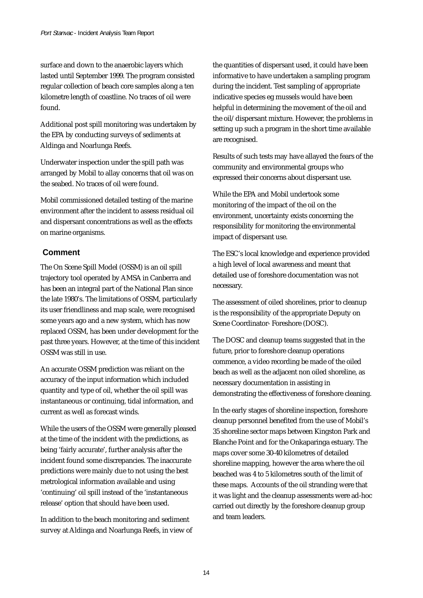surface and down to the anaerobic layers which lasted until September 1999. The program consisted regular collection of beach core samples along a ten kilometre length of coastline. No traces of oil were found.

Additional post spill monitoring was undertaken by the EPA by conducting surveys of sediments at Aldinga and Noarlunga Reefs.

Underwater inspection under the spill path was arranged by Mobil to allay concerns that oil was on the seabed. No traces of oil were found.

Mobil commissioned detailed testing of the marine environment after the incident to assess residual oil and dispersant concentrations as well as the effects on marine organisms.

#### **Comment**

The On Scene Spill Model (OSSM) is an oil spill trajectory tool operated by AMSA in Canberra and has been an integral part of the National Plan since the late 1980's. The limitations of OSSM, particularly its user friendliness and map scale, were recognised some years ago and a new system, which has now replaced OSSM, has been under development for the past three years. However, at the time of this incident OSSM was still in use.

An accurate OSSM prediction was reliant on the accuracy of the input information which included quantity and type of oil, whether the oil spill was instantaneous or continuing, tidal information, and current as well as forecast winds.

While the users of the OSSM were generally pleased at the time of the incident with the predictions, as being 'fairly accurate', further analysis after the incident found some discrepancies. The inaccurate predictions were mainly due to not using the best metrological information available and using 'continuing' oil spill instead of the 'instantaneous release' option that should have been used.

In addition to the beach monitoring and sediment survey at Aldinga and Noarlunga Reefs, in view of the quantities of dispersant used, it could have been informative to have undertaken a sampling program during the incident. Test sampling of appropriate indicative species eg mussels would have been helpful in determining the movement of the oil and the oil/dispersant mixture. However, the problems in setting up such a program in the short time available are recognised.

Results of such tests may have allayed the fears of the community and environmental groups who expressed their concerns about dispersant use.

While the EPA and Mobil undertook some monitoring of the impact of the oil on the environment, uncertainty exists concerning the responsibility for monitoring the environmental impact of dispersant use.

The ESC's local knowledge and experience provided a high level of local awareness and meant that detailed use of foreshore documentation was not necessary.

The assessment of oiled shorelines, prior to cleanup is the responsibility of the appropriate Deputy on Scene Coordinator- Foreshore (DOSC).

The DOSC and cleanup teams suggested that in the future, prior to foreshore cleanup operations commence, a video recording be made of the oiled beach as well as the adjacent non oiled shoreline, as necessary documentation in assisting in demonstrating the effectiveness of foreshore cleaning.

In the early stages of shoreline inspection, foreshore cleanup personnel benefited from the use of Mobil's 35 shoreline sector maps between Kingston Park and Blanche Point and for the Onkaparinga estuary. The maps cover some 30-40 kilometres of detailed shoreline mapping, however the area where the oil beached was 4 to 5 kilometres south of the limit of these maps. Accounts of the oil stranding were that it was light and the cleanup assessments were ad-hoc carried out directly by the foreshore cleanup group and team leaders.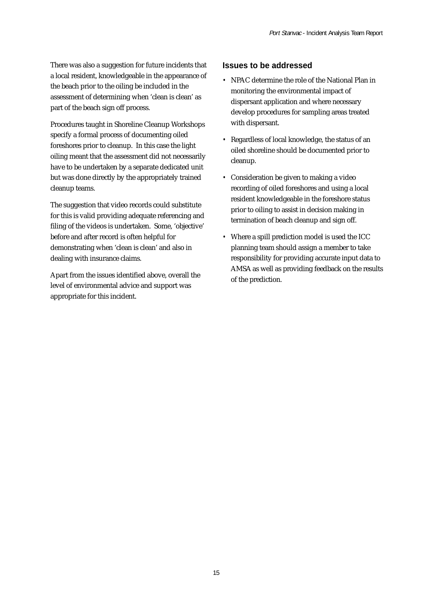There was also a suggestion for future incidents that a local resident, knowledgeable in the appearance of the beach prior to the oiling be included in the assessment of determining when 'clean is clean' as part of the beach sign off process.

Procedures taught in Shoreline Cleanup Workshops specify a formal process of documenting oiled foreshores prior to cleanup. In this case the light oiling meant that the assessment did not necessarily have to be undertaken by a separate dedicated unit but was done directly by the appropriately trained cleanup teams.

The suggestion that video records could substitute for this is valid providing adequate referencing and filing of the videos is undertaken. Some, 'objective' before and after record is often helpful for demonstrating when 'clean is clean' and also in dealing with insurance claims.

Apart from the issues identified above, overall the level of environmental advice and support was appropriate for this incident.

#### **Issues to be addressed**

- *•* NPAC determine the role of the National Plan in monitoring the environmental impact of dispersant application and where necessary develop procedures for sampling areas treated with dispersant.
- *•* Regardless of local knowledge, the status of an oiled shoreline should be documented prior to cleanup.
- *•* Consideration be given to making a video recording of oiled foreshores and using a local resident knowledgeable in the foreshore status prior to oiling to assist in decision making in termination of beach cleanup and sign off.
- *•* Where a spill prediction model is used the ICC planning team should assign a member to take responsibility for providing accurate input data to AMSA as well as providing feedback on the results of the prediction.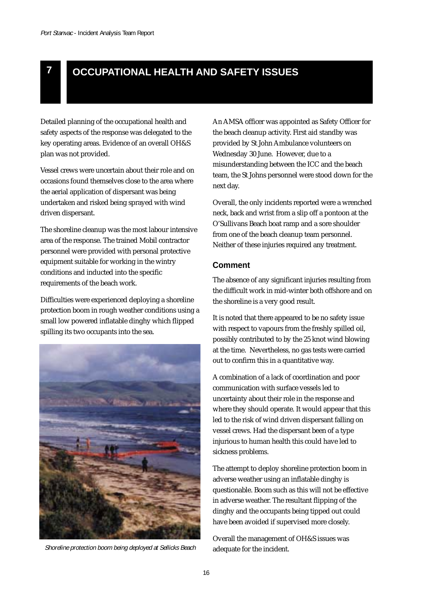

# **7 OCCUPATIONAL HEALTH AND SAFETY ISSUES**

Detailed planning of the occupational health and safety aspects of the response was delegated to the key operating areas. Evidence of an overall OH&S plan was not provided.

Vessel crews were uncertain about their role and on occasions found themselves close to the area where the aerial application of dispersant was being undertaken and risked being sprayed with wind driven dispersant.

The shoreline cleanup was the most labour intensive area of the response. The trained Mobil contractor personnel were provided with personal protective equipment suitable for working in the wintry conditions and inducted into the specific requirements of the beach work.

Difficulties were experienced deploying a shoreline protection boom in rough weather conditions using a small low powered inflatable dinghy which flipped spilling its two occupants into the sea.



Shoreline protection boom being deployed at Sellicks Beach adequate for the incident.

An AMSA officer was appointed as Safety Officer for the beach cleanup activity. First aid standby was provided by St John Ambulance volunteers on Wednesday 30 June. However, due to a misunderstanding between the ICC and the beach team, the St Johns personnel were stood down for the next day.

Overall, the only incidents reported were a wrenched neck, back and wrist from a slip off a pontoon at the O'Sullivans Beach boat ramp and a sore shoulder from one of the beach cleanup team personnel. Neither of these injuries required any treatment.

#### **Comment**

The absence of any significant injuries resulting from the difficult work in mid-winter both offshore and on the shoreline is a very good result.

It is noted that there appeared to be no safety issue with respect to vapours from the freshly spilled oil, possibly contributed to by the 25 knot wind blowing at the time. Nevertheless, no gas tests were carried out to confirm this in a quantitative way.

A combination of a lack of coordination and poor communication with surface vessels led to uncertainty about their role in the response and where they should operate. It would appear that this led to the risk of wind driven dispersant falling on vessel crews. Had the dispersant been of a type injurious to human health this could have led to sickness problems.

The attempt to deploy shoreline protection boom in adverse weather using an inflatable dinghy is questionable. Boom such as this will not be effective in adverse weather. The resultant flipping of the dinghy and the occupants being tipped out could have been avoided if supervised more closely.

Overall the management of OH&S issues was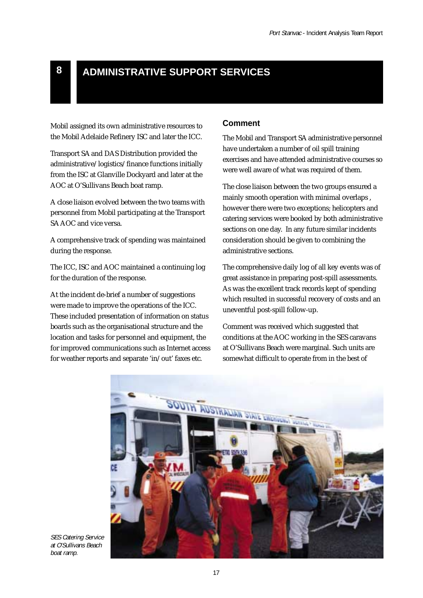## **8 ADMINISTRATIVE SUPPORT SERVICES**

Mobil assigned its own administrative resources to the Mobil Adelaide Refinery ISC and later the ICC.

Transport SA and DAS Distribution provided the administrative/logistics/finance functions initially from the ISC at Glanville Dockyard and later at the AOC at O'Sullivans Beach boat ramp.

A close liaison evolved between the two teams with personnel from Mobil participating at the Transport SA AOC and vice versa.

A comprehensive track of spending was maintained during the response.

The ICC, ISC and AOC maintained a continuing log for the duration of the response.

At the incident de-brief a number of suggestions were made to improve the operations of the ICC. These included presentation of information on status boards such as the organisational structure and the location and tasks for personnel and equipment, the for improved communications such as Internet access for weather reports and separate 'in/out' faxes etc.

#### **Comment**

The Mobil and Transport SA administrative personnel have undertaken a number of oil spill training exercises and have attended administrative courses so were well aware of what was required of them.

The close liaison between the two groups ensured a mainly smooth operation with minimal overlaps , however there were two exceptions; helicopters and catering services were booked by both administrative sections on one day. In any future similar incidents consideration should be given to combining the administrative sections.

The comprehensive daily log of all key events was of great assistance in preparing post-spill assessments. As was the excellent track records kept of spending which resulted in successful recovery of costs and an uneventful post-spill follow-up.

Comment was received which suggested that conditions at the AOC working in the SES caravans at O'Sullivans Beach were marginal. Such units are somewhat difficult to operate from in the best of



SES Catering Service at O'Sullivans Beach boat ramp.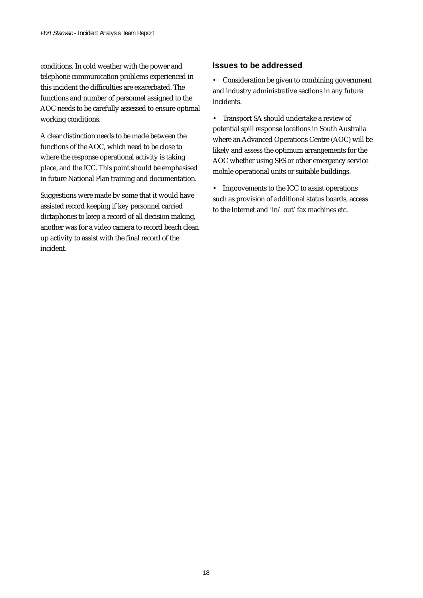conditions. In cold weather with the power and telephone communication problems experienced in this incident the difficulties are exacerbated. The functions and number of personnel assigned to the AOC needs to be carefully assessed to ensure optimal working conditions.

A clear distinction needs to be made between the functions of the AOC, which need to be close to where the response operational activity is taking place, and the ICC. This point should be emphasised in future National Plan training and documentation.

Suggestions were made by some that it would have assisted record keeping if key personnel carried dictaphones to keep a record of all decision making, another was for a video camera to record beach clean up activity to assist with the final record of the incident.

#### **Issues to be addressed**

*•* Consideration be given to combining government and industry administrative sections in any future incidents.

• Transport SA should undertake a review of potential spill response locations in South Australia where an Advanced Operations Centre (AOC) will be likely and assess the optimum arrangements for the AOC whether using SES or other emergency service mobile operational units or suitable buildings.

• Improvements to the ICC to assist operations such as provision of additional status boards, access to the Internet and 'in/ out' fax machines etc.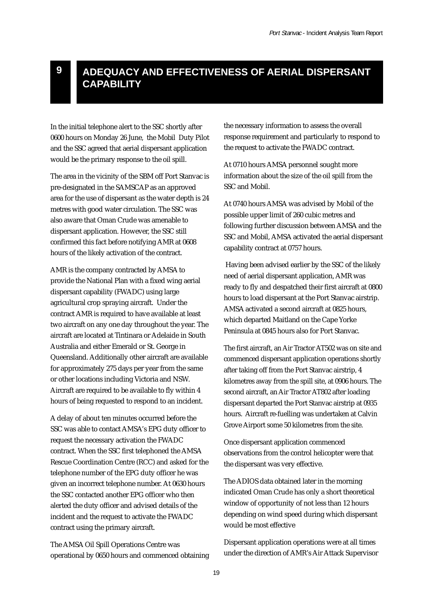## **ADEQUACY AND EFFECTIVENESS OF AERIAL DISPERSANT CAPABILITY**

In the initial telephone alert to the SSC shortly after 0600 hours on Monday 26 June, the Mobil Duty Pilot and the SSC agreed that aerial dispersant application would be the primary response to the oil spill.

The area in the vicinity of the SBM off Port Stanvac is pre-designated in the SAMSCAP as an approved area for the use of dispersant as the water depth is 24 metres with good water circulation. The SSC was also aware that Oman Crude was amenable to dispersant application. However, the SSC still confirmed this fact before notifying AMR at 0608 hours of the likely activation of the contract.

AMR is the company contracted by AMSA to provide the National Plan with a fixed wing aerial dispersant capability (FWADC) using large agricultural crop spraying aircraft. Under the contract AMR is required to have available at least two aircraft on any one day throughout the year. The aircraft are located at Tintinara or Adelaide in South Australia and either Emerald or St. George in Queensland. Additionally other aircraft are available for approximately 275 days per year from the same or other locations including Victoria and NSW. Aircraft are required to be available to fly within 4 hours of being requested to respond to an incident.

A delay of about ten minutes occurred before the SSC was able to contact AMSA's EPG duty officer to request the necessary activation the FWADC contract. When the SSC first telephoned the AMSA Rescue Coordination Centre (RCC) and asked for the telephone number of the EPG duty officer he was given an incorrect telephone number. At 0630 hours the SSC contacted another EPG officer who then alerted the duty officer and advised details of the incident and the request to activate the FWADC contract using the primary aircraft.

The AMSA Oil Spill Operations Centre was operational by 0650 hours and commenced obtaining the necessary information to assess the overall response requirement and particularly to respond to the request to activate the FWADC contract.

At 0710 hours AMSA personnel sought more information about the size of the oil spill from the SSC and Mobil.

At 0740 hours AMSA was advised by Mobil of the possible upper limit of 260 cubic metres and following further discussion between AMSA and the SSC and Mobil, AMSA activated the aerial dispersant capability contract at 0757 hours.

 Having been advised earlier by the SSC of the likely need of aerial dispersant application, AMR was ready to fly and despatched their first aircraft at 0800 hours to load dispersant at the Port Stanvac airstrip. AMSA activated a second aircraft at 0825 hours, which departed Maitland on the Cape Yorke Peninsula at 0845 hours also for Port Stanvac.

The first aircraft, an Air Tractor AT502 was on site and commenced dispersant application operations shortly after taking off from the Port Stanvac airstrip, 4 kilometres away from the spill site, at 0906 hours. The second aircraft, an Air Tractor AT802 after loading dispersant departed the Port Stanvac airstrip at 0935 hours. Aircraft re-fuelling was undertaken at Calvin Grove Airport some 50 kilometres from the site.

Once dispersant application commenced observations from the control helicopter were that the dispersant was very effective.

The ADIOS data obtained later in the morning indicated Oman Crude has only a short theoretical window of opportunity of not less than 12 hours depending on wind speed during which dispersant would be most effective

Dispersant application operations were at all times under the direction of AMR's Air Attack Supervisor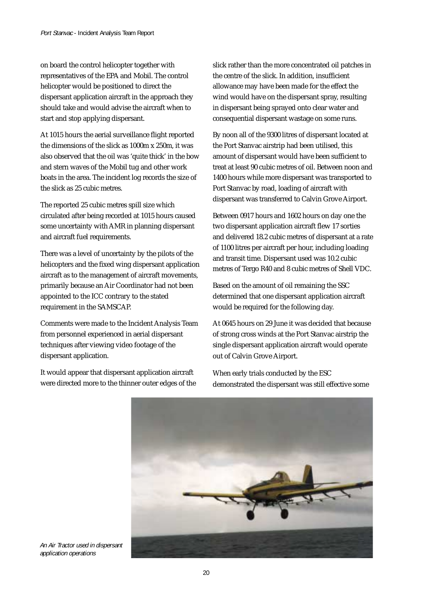on board the control helicopter together with representatives of the EPA and Mobil. The control helicopter would be positioned to direct the dispersant application aircraft in the approach they should take and would advise the aircraft when to start and stop applying dispersant.

At 1015 hours the aerial surveillance flight reported the dimensions of the slick as 1000m x 250m, it was also observed that the oil was 'quite thick' in the bow and stern waves of the Mobil tug and other work boats in the area. The incident log records the size of the slick as 25 cubic metres.

The reported 25 cubic metres spill size which circulated after being recorded at 1015 hours caused some uncertainty with AMR in planning dispersant and aircraft fuel requirements.

There was a level of uncertainty by the pilots of the helicopters and the fixed wing dispersant application aircraft as to the management of aircraft movements, primarily because an Air Coordinator had not been appointed to the ICC contrary to the stated requirement in the SAMSCAP.

Comments were made to the Incident Analysis Team from personnel experienced in aerial dispersant techniques after viewing video footage of the dispersant application.

It would appear that dispersant application aircraft were directed more to the thinner outer edges of the slick rather than the more concentrated oil patches in the centre of the slick. In addition, insufficient allowance may have been made for the effect the wind would have on the dispersant spray, resulting in dispersant being sprayed onto clear water and consequential dispersant wastage on some runs.

By noon all of the 9300 litres of dispersant located at the Port Stanvac airstrip had been utilised, this amount of dispersant would have been sufficient to treat at least 90 cubic metres of oil. Between noon and 1400 hours while more dispersant was transported to Port Stanvac by road, loading of aircraft with dispersant was transferred to Calvin Grove Airport.

Between 0917 hours and 1602 hours on day one the two dispersant application aircraft flew 17 sorties and delivered 18.2 cubic metres of dispersant at a rate of 1100 litres per aircraft per hour, including loading and transit time. Dispersant used was 10.2 cubic metres of Tergo R40 and 8 cubic metres of Shell VDC.

Based on the amount of oil remaining the SSC determined that one dispersant application aircraft would be required for the following day.

At 0645 hours on 29 June it was decided that because of strong cross winds at the Port Stanvac airstrip the single dispersant application aircraft would operate out of Calvin Grove Airport.

When early trials conducted by the ESC demonstrated the dispersant was still effective some



An Air Tractor used in dispersant application operations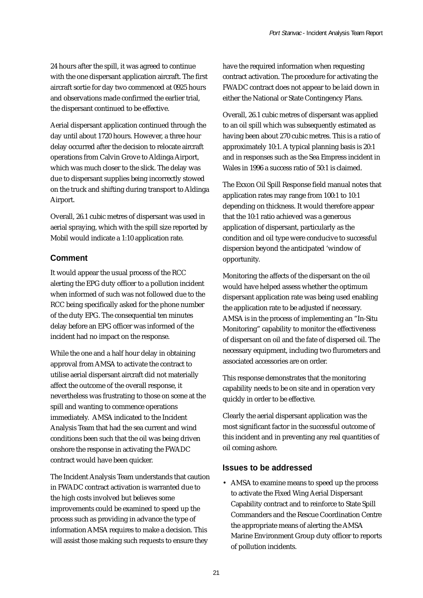24 hours after the spill, it was agreed to continue with the one dispersant application aircraft. The first aircraft sortie for day two commenced at 0925 hours and observations made confirmed the earlier trial, the dispersant continued to be effective.

Aerial dispersant application continued through the day until about 1720 hours. However, a three hour delay occurred after the decision to relocate aircraft operations from Calvin Grove to Aldinga Airport, which was much closer to the slick. The delay was due to dispersant supplies being incorrectly stowed on the truck and shifting during transport to Aldinga Airport.

Overall, 26.1 cubic metres of dispersant was used in aerial spraying, which with the spill size reported by Mobil would indicate a 1:10 application rate.

#### **Comment**

It would appear the usual process of the RCC alerting the EPG duty officer to a pollution incident when informed of such was not followed due to the RCC being specifically asked for the phone number of the duty EPG. The consequential ten minutes delay before an EPG officer was informed of the incident had no impact on the response.

While the one and a half hour delay in obtaining approval from AMSA to activate the contract to utilise aerial dispersant aircraft did not materially affect the outcome of the overall response, it nevertheless was frustrating to those on scene at the spill and wanting to commence operations immediately. AMSA indicated to the Incident Analysis Team that had the sea current and wind conditions been such that the oil was being driven onshore the response in activating the FWADC contract would have been quicker.

The Incident Analysis Team understands that caution in FWADC contract activation is warranted due to the high costs involved but believes some improvements could be examined to speed up the process such as providing in advance the type of information AMSA requires to make a decision. This will assist those making such requests to ensure they

have the required information when requesting contract activation. The procedure for activating the FWADC contract does not appear to be laid down in either the National or State Contingency Plans.

Overall, 26.1 cubic metres of dispersant was applied to an oil spill which was subsequently estimated as having been about 270 cubic metres. This is a ratio of approximately 10:1. A typical planning basis is 20:1 and in responses such as the Sea Empress incident in Wales in 1996 a success ratio of 50:1 is claimed.

The Exxon Oil Spill Response field manual notes that application rates may range from 100:1 to 10:1 depending on thickness. It would therefore appear that the 10:1 ratio achieved was a generous application of dispersant, particularly as the condition and oil type were conducive to successful dispersion beyond the anticipated 'window of opportunity.

Monitoring the affects of the dispersant on the oil would have helped assess whether the optimum dispersant application rate was being used enabling the application rate to be adjusted if necessary. AMSA is in the process of implementing an "In-Situ Monitoring" capability to monitor the effectiveness of dispersant on oil and the fate of dispersed oil. The necessary equipment, including two flurometers and associated accessories are on order.

This response demonstrates that the monitoring capability needs to be on site and in operation very quickly in order to be effective.

Clearly the aerial dispersant application was the most significant factor in the successful outcome of this incident and in preventing any real quantities of oil coming ashore.

#### **Issues to be addressed**

• AMSA to examine means to speed up the process to activate the Fixed Wing Aerial Dispersant Capability contract and to reinforce to State Spill Commanders and the Rescue Coordination Centre the appropriate means of alerting the AMSA Marine Environment Group duty officer to reports of pollution incidents.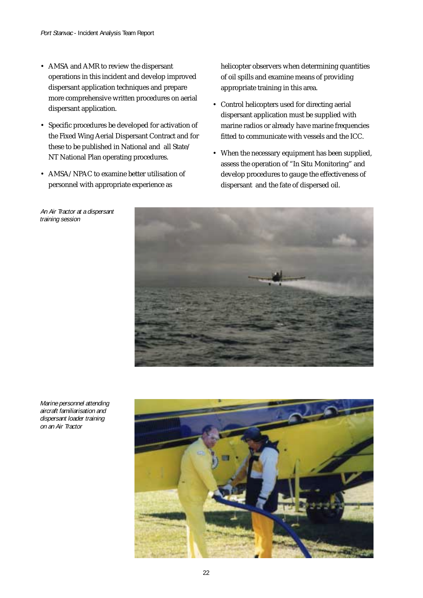- AMSA and AMR to review the dispersant operations in this incident and develop improved dispersant application techniques and prepare more comprehensive written procedures on aerial dispersant application.
- Specific procedures be developed for activation of the Fixed Wing Aerial Dispersant Contract and for these to be published in National and all State/ NT National Plan operating procedures.
- AMSA/NPAC to examine better utilisation of personnel with appropriate experience as

An Air Tractor at <sup>a</sup> dispersant training session

helicopter observers when determining quantities of oil spills and examine means of providing appropriate training in this area.

- Control helicopters used for directing aerial dispersant application must be supplied with marine radios or already have marine frequencies fitted to communicate with vessels and the ICC.
- When the necessary equipment has been supplied, assess the operation of "In Situ Monitoring" and develop procedures to gauge the effectiveness of dispersant and the fate of dispersed oil.



Marine personnel attending aircraft familiarisation and dispersant loader training on an Air Tractor

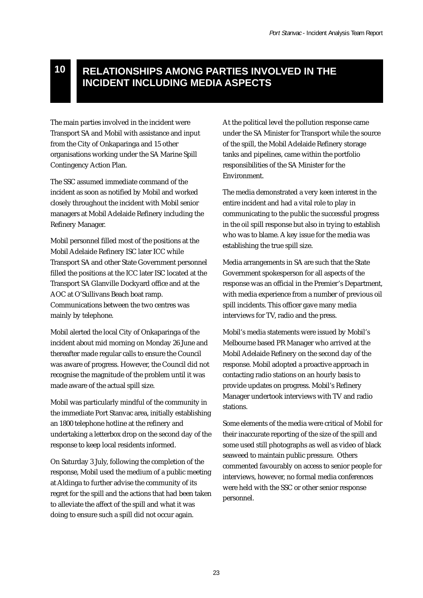## **RELATIONSHIPS AMONG PARTIES INVOLVED IN THE INCIDENT INCLUDING MEDIA ASPECTS**

The main parties involved in the incident were Transport SA and Mobil with assistance and input from the City of Onkaparinga and 15 other organisations working under the SA Marine Spill Contingency Action Plan.

**10**

The SSC assumed immediate command of the incident as soon as notified by Mobil and worked closely throughout the incident with Mobil senior managers at Mobil Adelaide Refinery including the Refinery Manager.

Mobil personnel filled most of the positions at the Mobil Adelaide Refinery ISC later ICC while Transport SA and other State Government personnel filled the positions at the ICC later ISC located at the Transport SA Glanville Dockyard office and at the AOC at O'Sullivans Beach boat ramp. Communications between the two centres was mainly by telephone.

Mobil alerted the local City of Onkaparinga of the incident about mid morning on Monday 26 June and thereafter made regular calls to ensure the Council was aware of progress. However, the Council did not recognise the magnitude of the problem until it was made aware of the actual spill size.

Mobil was particularly mindful of the community in the immediate Port Stanvac area, initially establishing an 1800 telephone hotline at the refinery and undertaking a letterbox drop on the second day of the response to keep local residents informed.

On Saturday 3 July, following the completion of the response, Mobil used the medium of a public meeting at Aldinga to further advise the community of its regret for the spill and the actions that had been taken to alleviate the affect of the spill and what it was doing to ensure such a spill did not occur again.

At the political level the pollution response came under the SA Minister for Transport while the source of the spill, the Mobil Adelaide Refinery storage tanks and pipelines, came within the portfolio responsibilities of the SA Minister for the Environment.

The media demonstrated a very keen interest in the entire incident and had a vital role to play in communicating to the public the successful progress in the oil spill response but also in trying to establish who was to blame. A key issue for the media was establishing the true spill size.

Media arrangements in SA are such that the State Government spokesperson for all aspects of the response was an official in the Premier's Department, with media experience from a number of previous oil spill incidents. This officer gave many media interviews for TV, radio and the press.

Mobil's media statements were issued by Mobil's Melbourne based PR Manager who arrived at the Mobil Adelaide Refinery on the second day of the response. Mobil adopted a proactive approach in contacting radio stations on an hourly basis to provide updates on progress. Mobil's Refinery Manager undertook interviews with TV and radio stations.

Some elements of the media were critical of Mobil for their inaccurate reporting of the size of the spill and some used still photographs as well as video of black seaweed to maintain public pressure. Others commented favourably on access to senior people for interviews, however, no formal media conferences were held with the SSC or other senior response personnel.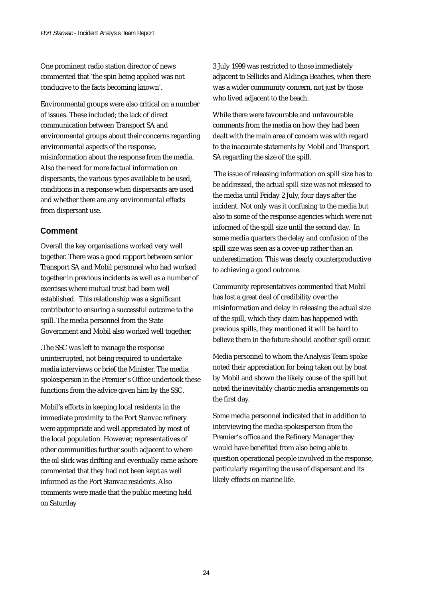One prominent radio station director of news commented that 'the spin being applied was not conducive to the facts becoming known'.

Environmental groups were also critical on a number of issues. These included; the lack of direct communication between Transport SA and environmental groups about their concerns regarding environmental aspects of the response, misinformation about the response from the media. Also the need for more factual information on dispersants, the various types available to be used, conditions in a response when dispersants are used and whether there are any environmental effects from dispersant use.

#### **Comment**

Overall the key organisations worked very well together. There was a good rapport between senior Transport SA and Mobil personnel who had worked together in previous incidents as well as a number of exercises where mutual trust had been well established. This relationship was a significant contributor to ensuring a successful outcome to the spill. The media personnel from the State Government and Mobil also worked well together.

.The SSC was left to manage the response uninterrupted, not being required to undertake media interviews or brief the Minister. The media spokesperson in the Premier's Office undertook these functions from the advice given him by the SSC.

Mobil's efforts in keeping local residents in the immediate proximity to the Port Stanvac refinery were appropriate and well appreciated by most of the local population. However, representatives of other communities further south adjacent to where the oil slick was drifting and eventually came ashore commented that they had not been kept as well informed as the Port Stanvac residents. Also comments were made that the public meeting held on Saturday

3 July 1999 was restricted to those immediately adjacent to Sellicks and Aldinga Beaches, when there was a wider community concern, not just by those who lived adjacent to the beach.

While there were favourable and unfavourable comments from the media on how they had been dealt with the main area of concern was with regard to the inaccurate statements by Mobil and Transport SA regarding the size of the spill.

 The issue of releasing information on spill size has to be addressed, the actual spill size was not released to the media until Friday 2 July, four days after the incident. Not only was it confusing to the media but also to some of the response agencies which were not informed of the spill size until the second day. In some media quarters the delay and confusion of the spill size was seen as a cover-up rather than an underestimation. This was clearly counterproductive to achieving a good outcome.

Community representatives commented that Mobil has lost a great deal of credibility over the misinformation and delay in releasing the actual size of the spill, which they claim has happened with previous spills, they mentioned it will be hard to believe them in the future should another spill occur.

Media personnel to whom the Analysis Team spoke noted their appreciation for being taken out by boat by Mobil and shown the likely cause of the spill but noted the inevitably chaotic media arrangements on the first day.

Some media personnel indicated that in addition to interviewing the media spokesperson from the Premier's office and the Refinery Manager they would have benefited from also being able to question operational people involved in the response, particularly regarding the use of dispersant and its likely effects on marine life.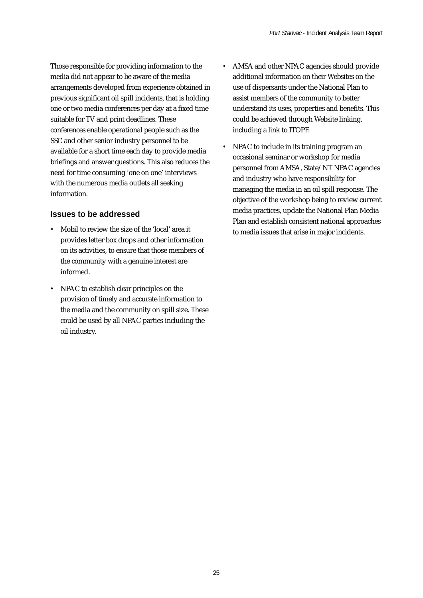Those responsible for providing information to the media did not appear to be aware of the media arrangements developed from experience obtained in previous significant oil spill incidents, that is holding one or two media conferences per day at a fixed time suitable for TV and print deadlines. These conferences enable operational people such as the SSC and other senior industry personnel to be available for a short time each day to provide media briefings and answer questions. This also reduces the need for time consuming 'one on one' interviews with the numerous media outlets all seeking information.

#### **Issues to be addressed**

- *•* Mobil to review the size of the 'local' area it provides letter box drops and other information on its activities, to ensure that those members of the community with a genuine interest are informed.
- *•* NPAC to establish clear principles on the provision of timely and accurate information to the media and the community on spill size. These could be used by all NPAC parties including the oil industry.
- *•* AMSA and other NPAC agencies should provide additional information on their Websites on the use of dispersants under the National Plan to assist members of the community to better understand its uses, properties and benefits. This could be achieved through Website linking, including a link to ITOPF.
- *•* NPAC to include in its training program an occasional seminar or workshop for media personnel from AMSA, State/NT NPAC agencies and industry who have responsibility for managing the media in an oil spill response. The objective of the workshop being to review current media practices, update the National Plan Media Plan and establish consistent national approaches to media issues that arise in major incidents.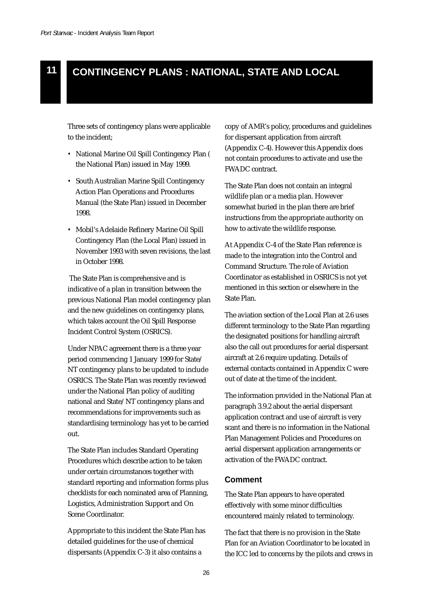## **11 CONTINGENCY PLANS : NATIONAL, STATE AND LOCAL**

Three sets of contingency plans were applicable to the incident;

- *•* National Marine Oil Spill Contingency Plan ( the National Plan) issued in May 1999.
- *•* South Australian Marine Spill Contingency Action Plan Operations and Procedures Manual (the State Plan) issued in December 1998.
- *•* Mobil's Adelaide Refinery Marine Oil Spill Contingency Plan (the Local Plan) issued in November 1993 with seven revisions, the last in October 1998.

 The State Plan is comprehensive and is indicative of a plan in transition between the previous National Plan model contingency plan and the new guidelines on contingency plans, which takes account the Oil Spill Response Incident Control System (OSRICS).

Under NPAC agreement there is a three year period commencing 1 January 1999 for State/ NT contingency plans to be updated to include OSRICS. The State Plan was recently reviewed under the National Plan policy of auditing national and State/NT contingency plans and recommendations for improvements such as standardising terminology has yet to be carried out.

The State Plan includes Standard Operating Procedures which describe action to be taken under certain circumstances together with standard reporting and information forms plus checklists for each nominated area of Planning, Logistics, Administration Support and On Scene Coordinator.

Appropriate to this incident the State Plan has detailed guidelines for the use of chemical dispersants (Appendix C-3) it also contains a

copy of AMR's policy, procedures and guidelines for dispersant application from aircraft (Appendix C-4). However this Appendix does not contain procedures to activate and use the FWADC contract.

The State Plan does not contain an integral wildlife plan or a media plan. However somewhat buried in the plan there are brief instructions from the appropriate authority on how to activate the wildlife response.

At Appendix C-4 of the State Plan reference is made to the integration into the Control and Command Structure. The role of Aviation Coordinator as established in OSRICS is not yet mentioned in this section or elsewhere in the State Plan.

The aviation section of the Local Plan at 2.6 uses different terminology to the State Plan regarding the designated positions for handling aircraft also the call out procedures for aerial dispersant aircraft at 2.6 require updating. Details of external contacts contained in Appendix C were out of date at the time of the incident.

The information provided in the National Plan at paragraph 3.9.2 about the aerial dispersant application contract and use of aircraft is very scant and there is no information in the National Plan Management Policies and Procedures on aerial dispersant application arrangements or activation of the FWADC contract.

#### **Comment**

The State Plan appears to have operated effectively with some minor difficulties encountered mainly related to terminology.

The fact that there is no provision in the State Plan for an Aviation Coordinator to be located in the ICC led to concerns by the pilots and crews in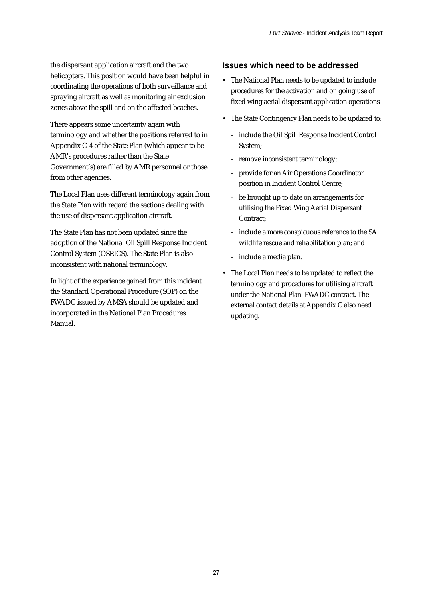the dispersant application aircraft and the two helicopters. This position would have been helpful in coordinating the operations of both surveillance and spraying aircraft as well as monitoring air exclusion zones above the spill and on the affected beaches.

There appears some uncertainty again with terminology and whether the positions referred to in Appendix C-4 of the State Plan (which appear to be AMR's procedures rather than the State Government's) are filled by AMR personnel or those from other agencies.

The Local Plan uses different terminology again from the State Plan with regard the sections dealing with the use of dispersant application aircraft.

The State Plan has not been updated since the adoption of the National Oil Spill Response Incident Control System (OSRICS). The State Plan is also inconsistent with national terminology.

In light of the experience gained from this incident the Standard Operational Procedure (SOP) on the FWADC issued by AMSA should be updated and incorporated in the National Plan Procedures Manual.

#### **Issues which need to be addressed**

- *•* The National Plan needs to be updated to include procedures for the activation and on going use of fixed wing aerial dispersant application operations
- *•* The State Contingency Plan needs to be updated to:
	- *–* include the Oil Spill Response Incident Control System;
	- *–* remove inconsistent terminology;
	- *–* provide for an Air Operations Coordinator position in Incident Control Centre;
	- *–* be brought up to date on arrangements for utilising the Fixed Wing Aerial Dispersant Contract;
	- *–* include a more conspicuous reference to the SA wildlife rescue and rehabilitation plan; and
	- *–* include a media plan.
- *•* The Local Plan needs to be updated to reflect the terminology and procedures for utilising aircraft under the National Plan FWADC contract. The external contact details at Appendix C also need updating.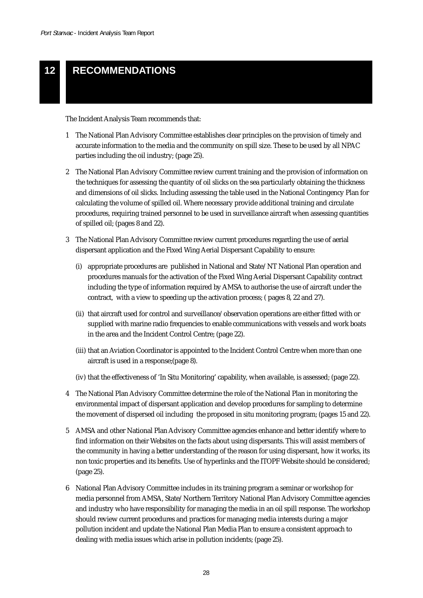## **12 RECOMMENDATIONS**

The Incident Analysis Team recommends that:

- 1 The National Plan Advisory Committee establishes clear principles on the provision of timely and accurate information to the media and the community on spill size. These to be used by all NPAC parties including the oil industry; (page 25).
- 2 The National Plan Advisory Committee review current training and the provision of information on the techniques for assessing the quantity of oil slicks on the sea particularly obtaining the thickness and dimensions of oil slicks. Including assessing the table used in the National Contingency Plan for calculating the volume of spilled oil. Where necessary provide additional training and circulate procedures, requiring trained personnel to be used in surveillance aircraft when assessing quantities of spilled oil; (pages 8 and 22).
- 3 The National Plan Advisory Committee review current procedures regarding the use of aerial dispersant application and the Fixed Wing Aerial Dispersant Capability to ensure:
	- (i) appropriate procedures are published in National and State/NT National Plan operation and procedures manuals for the activation of the Fixed Wing Aerial Dispersant Capability contract including the type of information required by AMSA to authorise the use of aircraft under the contract, with a view to speeding up the activation process; ( pages 8, 22 and 27).
	- (ii) that aircraft used for control and surveillance/observation operations are either fitted with or supplied with marine radio frequencies to enable communications with vessels and work boats in the area and the Incident Control Centre; (page 22).
	- (iii) that an Aviation Coordinator is appointed to the Incident Control Centre when more than one aircraft is used in a response;(page 8).
	- (iv) that the effectiveness of 'In Situ Monitoring' capability, when available, is assessed; (page 22).
- 4 The National Plan Advisory Committee determine the role of the National Plan in monitoring the environmental impact of dispersant application and develop procedures for sampling to determine the movement of dispersed oil including the proposed in situ monitoring program; (pages 15 and 22).
- 5 AMSA and other National Plan Advisory Committee agencies enhance and better identify where to find information on their Websites on the facts about using dispersants. This will assist members of the community in having a better understanding of the reason for using dispersant, how it works, its non toxic properties and its benefits. Use of hyperlinks and the ITOPF Website should be considered; (page 25).
- 6 National Plan Advisory Committee includes in its training program a seminar or workshop for media personnel from AMSA, State/Northern Territory National Plan Advisory Committee agencies and industry who have responsibility for managing the media in an oil spill response. The workshop should review current procedures and practices for managing media interests during a major pollution incident and update the National Plan Media Plan to ensure a consistent approach to dealing with media issues which arise in pollution incidents; (page 25).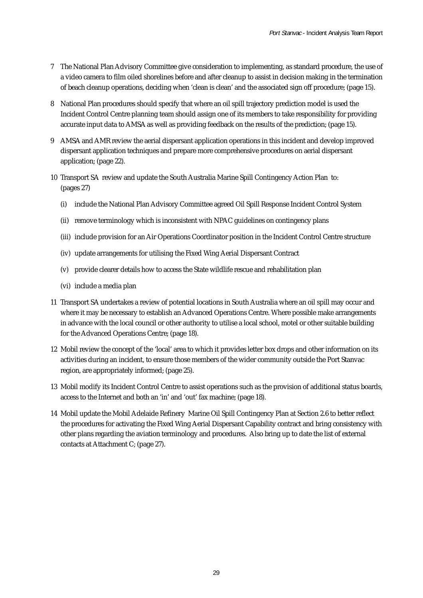- 7 The National Plan Advisory Committee give consideration to implementing, as standard procedure, the use of a video camera to film oiled shorelines before and after cleanup to assist in decision making in the termination of beach cleanup operations, deciding when 'clean is clean' and the associated sign off procedure; (page 15).
- 8 National Plan procedures should specify that where an oil spill trajectory prediction model is used the Incident Control Centre planning team should assign one of its members to take responsibility for providing accurate input data to AMSA as well as providing feedback on the results of the prediction; (page 15).
- 9 AMSA and AMR review the aerial dispersant application operations in this incident and develop improved dispersant application techniques and prepare more comprehensive procedures on aerial dispersant application; (page 22).
- 10 Transport SA review and update the South Australia Marine Spill Contingency Action Plan to: (pages 27)
	- (i) include the National Plan Advisory Committee agreed Oil Spill Response Incident Control System
	- (ii) remove terminology which is inconsistent with NPAC guidelines on contingency plans
	- (iii) include provision for an Air Operations Coordinator position in the Incident Control Centre structure
	- (iv) update arrangements for utilising the Fixed Wing Aerial Dispersant Contract
	- (v) provide clearer details how to access the State wildlife rescue and rehabilitation plan
	- (vi) include a media plan
- 11 Transport SA undertakes a review of potential locations in South Australia where an oil spill may occur and where it may be necessary to establish an Advanced Operations Centre. Where possible make arrangements in advance with the local council or other authority to utilise a local school, motel or other suitable building for the Advanced Operations Centre; (page 18).
- 12 Mobil review the concept of the 'local' area to which it provides letter box drops and other information on its activities during an incident, to ensure those members of the wider community outside the Port Stanvac region, are appropriately informed; (page 25).
- 13 Mobil modify its Incident Control Centre to assist operations such as the provision of additional status boards, access to the Internet and both an 'in' and 'out' fax machine; (page 18).
- 14 Mobil update the Mobil Adelaide Refinery Marine Oil Spill Contingency Plan at Section 2.6 to better reflect the procedures for activating the Fixed Wing Aerial Dispersant Capability contract and bring consistency with other plans regarding the aviation terminology and procedures. Also bring up to date the list of external contacts at Attachment C; (page 27).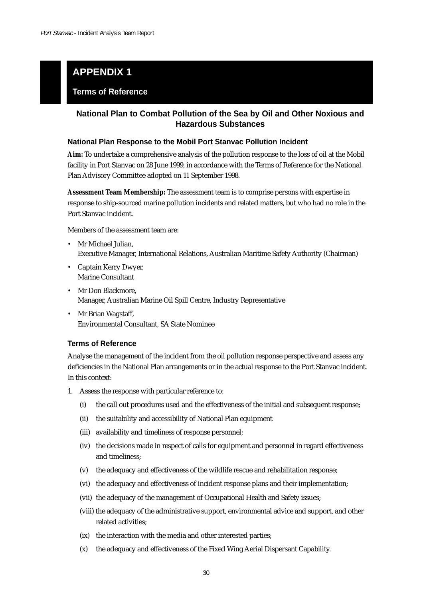## **APPENDIX 1**

#### **Terms of Reference**

#### **National Plan to Combat Pollution of the Sea by Oil and Other Noxious and Hazardous Substances**

#### **National Plan Response to the Mobil Port Stanvac Pollution Incident**

**Aim:** To undertake a comprehensive analysis of the pollution response to the loss of oil at the Mobil facility in Port Stanvac on 28 June 1999, in accordance with the Terms of Reference for the National Plan Advisory Committee adopted on 11 September 1998.

**Assessment Team Membership:** The assessment team is to comprise persons with expertise in response to ship-sourced marine pollution incidents and related matters, but who had no role in the Port Stanvac incident.

Members of the assessment team are:

- *•* Mr Michael Julian, Executive Manager, International Relations, Australian Maritime Safety Authority (Chairman)
- *•* Captain Kerry Dwyer, Marine Consultant
- *•* Mr Don Blackmore, Manager, Australian Marine Oil Spill Centre, Industry Representative
- *•* Mr Brian Wagstaff, Environmental Consultant, SA State Nominee

#### **Terms of Reference**

Analyse the management of the incident from the oil pollution response perspective and assess any deficiencies in the National Plan arrangements or in the actual response to the Port Stanvac incident. In this context:

- 1. Assess the response with particular reference to:
	- (i) the call out procedures used and the effectiveness of the initial and subsequent response;
	- (ii) the suitability and accessibility of National Plan equipment
	- (iii) availability and timeliness of response personnel;
	- (iv) the decisions made in respect of calls for equipment and personnel in regard effectiveness and timeliness;
	- (v) the adequacy and effectiveness of the wildlife rescue and rehabilitation response;
	- (vi) the adequacy and effectiveness of incident response plans and their implementation;
	- (vii) the adequacy of the management of Occupational Health and Safety issues;
	- (viii) the adequacy of the administrative support, environmental advice and support, and other related activities;
	- (ix) the interaction with the media and other interested parties;
	- (x) the adequacy and effectiveness of the Fixed Wing Aerial Dispersant Capability.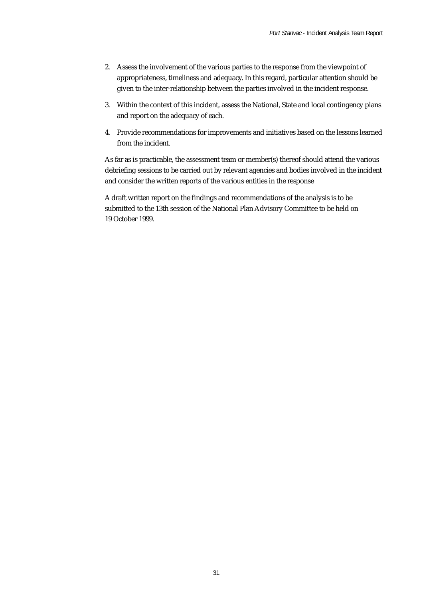- 2. Assess the involvement of the various parties to the response from the viewpoint of appropriateness, timeliness and adequacy. In this regard, particular attention should be given to the inter-relationship between the parties involved in the incident response.
- 3. Within the context of this incident, assess the National, State and local contingency plans and report on the adequacy of each.
- 4. Provide recommendations for improvements and initiatives based on the lessons learned from the incident.

As far as is practicable, the assessment team or member(s) thereof should attend the various debriefing sessions to be carried out by relevant agencies and bodies involved in the incident and consider the written reports of the various entities in the response

A draft written report on the findings and recommendations of the analysis is to be submitted to the 13th session of the National Plan Advisory Committee to be held on 19 October 1999.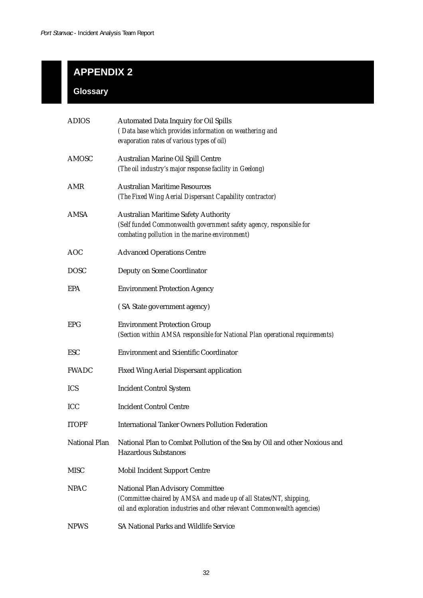# **APPENDIX 2**

## **Glossary**

| <b>ADIOS</b>         | <b>Automated Data Inquiry for Oil Spills</b><br>(Data base which provides information on weathering and                                                                            |
|----------------------|------------------------------------------------------------------------------------------------------------------------------------------------------------------------------------|
|                      | evaporation rates of various types of oil)                                                                                                                                         |
| AMOSC                | Australian Marine Oil Spill Centre<br>(The oil industry's major response facility in Geelong)                                                                                      |
| AMR                  | <b>Australian Maritime Resources</b><br>(The Fixed Wing Aerial Dispersant Capability contractor)                                                                                   |
| AMSA                 | <b>Australian Maritime Safety Authority</b><br>(Self funded Commonwealth government safety agency, responsible for<br>combating pollution in the marine environment)               |
| <b>AOC</b>           | <b>Advanced Operations Centre</b>                                                                                                                                                  |
| <b>DOSC</b>          | Deputy on Scene Coordinator                                                                                                                                                        |
| EPA                  | <b>Environment Protection Agency</b>                                                                                                                                               |
|                      | (SA State government agency)                                                                                                                                                       |
| <b>EPG</b>           | <b>Environment Protection Group</b><br>(Section within AMSA responsible for National Plan operational requirements)                                                                |
| <b>ESC</b>           | <b>Environment and Scientific Coordinator</b>                                                                                                                                      |
| <b>FWADC</b>         | <b>Fixed Wing Aerial Dispersant application</b>                                                                                                                                    |
| <b>ICS</b>           | <b>Incident Control System</b>                                                                                                                                                     |
| ICC                  | <b>Incident Control Centre</b>                                                                                                                                                     |
| <b>ITOPF</b>         | <b>International Tanker Owners Pollution Federation</b>                                                                                                                            |
| <b>National Plan</b> | National Plan to Combat Pollution of the Sea by Oil and other Noxious and<br><b>Hazardous Substances</b>                                                                           |
| <b>MISC</b>          | <b>Mobil Incident Support Centre</b>                                                                                                                                               |
| <b>NPAC</b>          | National Plan Advisory Committee<br>(Committee chaired by AMSA and made up of all States/NT, shipping,<br>oil and exploration industries and other relevant Commonwealth agencies) |
| <b>NPWS</b>          | SA National Parks and Wildlife Service                                                                                                                                             |